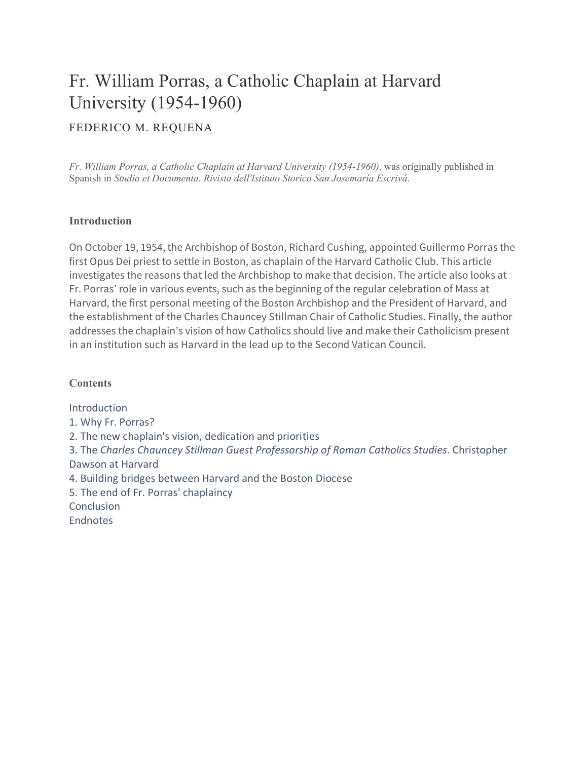# Fr. William Porras, a Catholic Chaplain at Harvard University (1954-1960)

#### FEDERICO M. REQUENA

*Fr. William Porras, a Catholic Chaplain at Harvard University (1954-1960)*, was originally published in Spanish in *Studia et Documenta. Rivista dell'Istituto Storico San Josemaría Escrivá*.

#### **Introduction**

On October 19, 1954, the Archbishop of Boston, Richard Cushing, appointed Guillermo Porras the first Opus Dei priest to settle in Boston, as chaplain of the Harvard Catholic Club. This article investigates the reasons that led the Archbishop to make that decision. The article also looks at Fr. Porras' role in various events, such as the beginning of the regular celebration of Mass at Harvard, the first personal meeting of the Boston Archbishop and the President of Harvard, and the establishment of the Charles Chauncey Stillman Chair of Catholic Studies. Finally, the author addresses the chaplain's vision of how Catholics should live and make their Catholicism present in an institution such as Harvard in the lead up to the Second Vatican Council.

#### **Contents**

Introduction 1. Why Fr. Porras? 2. The new chaplain's vision, dedication and priorities 3. The *Charles Chauncey Stillman Guest Professorship of Roman Catholics Studies*. Christopher Dawson at Harvard 4. Building bridges between Harvard and the Boston Diocese 5. The end of Fr. Porras' chaplaincy **Conclusion Endnotes**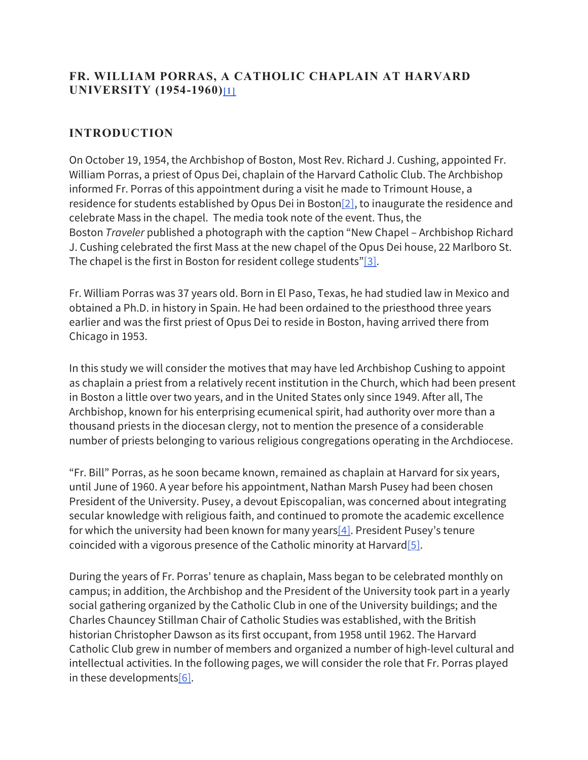## **FR. WILLIAM PORRAS, A CATHOLIC CHAPLAIN AT HARVARD UNIVERSITY (1954-1960)[1]**

# **INTRODUCTION**

On October 19, 1954, the Archbishop of Boston, Most Rev. Richard J. Cushing, appointed Fr. William Porras, a priest of Opus Dei, chaplain of the Harvard Catholic Club. The Archbishop informed Fr. Porras of this appointment during a visit he made to Trimount House, a residence for students established by Opus Dei in Boston[2], to inaugurate the residence and celebrate Mass in the chapel. The media took note of the event. Thus, the Boston *Traveler* published a photograph with the caption "New Chapel – Archbishop Richard J. Cushing celebrated the first Mass at the new chapel of the Opus Dei house, 22 Marlboro St. The chapel is the first in Boston for resident college students"[3].

Fr. William Porras was 37 years old. Born in El Paso, Texas, he had studied law in Mexico and obtained a Ph.D. in history in Spain. He had been ordained to the priesthood three years earlier and was the first priest of Opus Dei to reside in Boston, having arrived there from Chicago in 1953.

In this study we will consider the motives that may have led Archbishop Cushing to appoint as chaplain a priest from a relatively recent institution in the Church, which had been present in Boston a little over two years, and in the United States only since 1949. After all, The Archbishop, known for his enterprising ecumenical spirit, had authority over more than a thousand priests in the diocesan clergy, not to mention the presence of a considerable number of priests belonging to various religious congregations operating in the Archdiocese.

"Fr. Bill" Porras, as he soon became known, remained as chaplain at Harvard for six years, until June of 1960. A year before his appointment, Nathan Marsh Pusey had been chosen President of the University. Pusey, a devout Episcopalian, was concerned about integrating secular knowledge with religious faith, and continued to promote the academic excellence for which the university had been known for many years  $[4]$ . President Pusey's tenure coincided with a vigorous presence of the Catholic minority at Harvard  $[5]$ .

During the years of Fr. Porras' tenure as chaplain, Mass began to be celebrated monthly on campus; in addition, the Archbishop and the President of the University took part in a yearly social gathering organized by the Catholic Club in one of the University buildings; and the Charles Chauncey Stillman Chair of Catholic Studies was established, with the British historian Christopher Dawson as its first occupant, from 1958 until 1962. The Harvard Catholic Club grew in number of members and organized a number of high-level cultural and intellectual activities. In the following pages, we will consider the role that Fr. Porras played in these developments $[6]$ .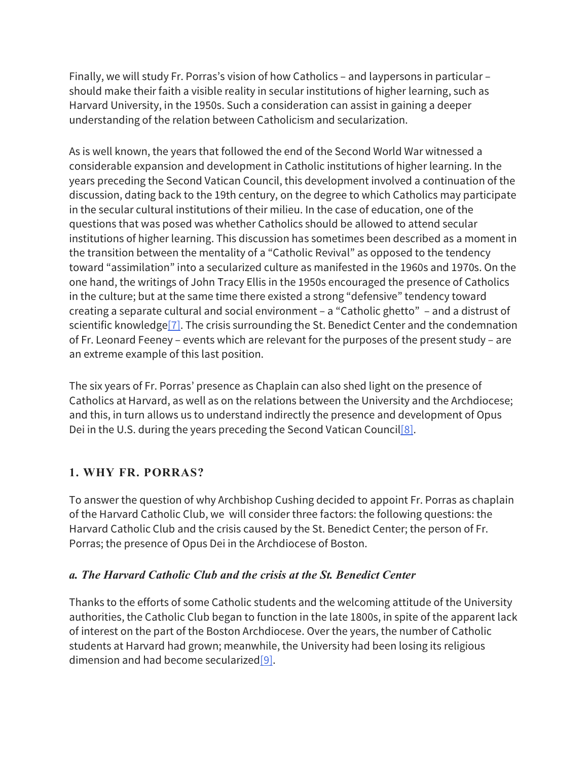Finally, we will study Fr. Porras's vision of how Catholics – and laypersons in particular – should make their faith a visible reality in secular institutions of higher learning, such as Harvard University, in the 1950s. Such a consideration can assist in gaining a deeper understanding of the relation between Catholicism and secularization.

As is well known, the years that followed the end of the Second World War witnessed a considerable expansion and development in Catholic institutions of higher learning. In the years preceding the Second Vatican Council, this development involved a continuation of the discussion, dating back to the 19th century, on the degree to which Catholics may participate in the secular cultural institutions of their milieu. In the case of education, one of the questions that was posed was whether Catholics should be allowed to attend secular institutions of higher learning. This discussion has sometimes been described as a moment in the transition between the mentality of a "Catholic Revival" as opposed to the tendency toward "assimilation" into a secularized culture as manifested in the 1960s and 1970s. On the one hand, the writings of John Tracy Ellis in the 1950s encouraged the presence of Catholics in the culture; but at the same time there existed a strong "defensive" tendency toward creating a separate cultural and social environment – a "Catholic ghetto" – and a distrust of scientific knowledge<sup>[7]</sup>. The crisis surrounding the St. Benedict Center and the condemnation of Fr. Leonard Feeney – events which are relevant for the purposes of the present study – are an extreme example of this last position.

The six years of Fr. Porras' presence as Chaplain can also shed light on the presence of Catholics at Harvard, as well as on the relations between the University and the Archdiocese; and this, in turn allows us to understand indirectly the presence and development of Opus Dei in the U.S. during the years preceding the Second Vatican Council[8].

# **1. WHY FR. PORRAS?**

To answer the question of why Archbishop Cushing decided to appoint Fr. Porras as chaplain of the Harvard Catholic Club, we will consider three factors: the following questions: the Harvard Catholic Club and the crisis caused by the St. Benedict Center; the person of Fr. Porras; the presence of Opus Dei in the Archdiocese of Boston.

#### *a. The Harvard Catholic Club and the crisis at the St. Benedict Center*

Thanks to the efforts of some Catholic students and the welcoming attitude of the University authorities, the Catholic Club began to function in the late 1800s, in spite of the apparent lack of interest on the part of the Boston Archdiocese. Over the years, the number of Catholic students at Harvard had grown; meanwhile, the University had been losing its religious dimension and had become secularized[9].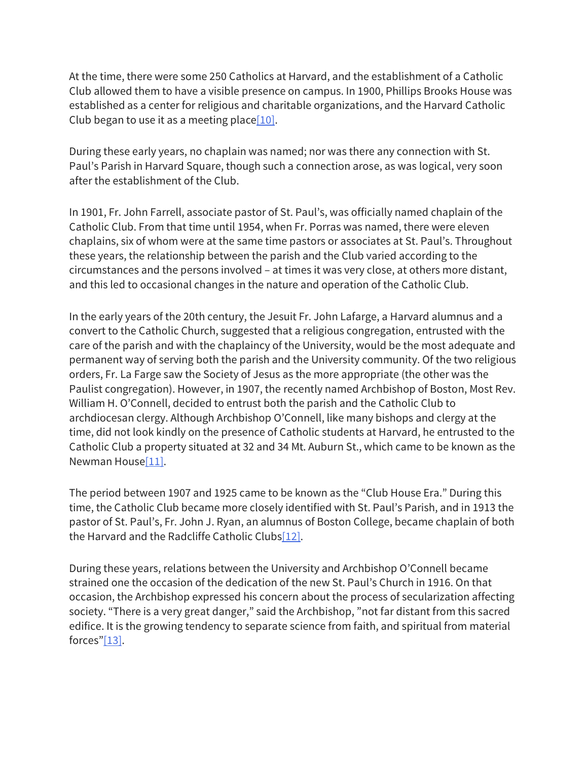At the time, there were some 250 Catholics at Harvard, and the establishment of a Catholic Club allowed them to have a visible presence on campus. In 1900, Phillips Brooks House was established as a center for religious and charitable organizations, and the Harvard Catholic Club began to use it as a meeting place  $[10]$ .

During these early years, no chaplain was named; nor was there any connection with St. Paul's Parish in Harvard Square, though such a connection arose, as was logical, very soon after the establishment of the Club.

In 1901, Fr. John Farrell, associate pastor of St. Paul's, was officially named chaplain of the Catholic Club. From that time until 1954, when Fr. Porras was named, there were eleven chaplains, six of whom were at the same time pastors or associates at St. Paul's. Throughout these years, the relationship between the parish and the Club varied according to the circumstances and the persons involved – at times it was very close, at others more distant, and this led to occasional changes in the nature and operation of the Catholic Club.

In the early years of the 20th century, the Jesuit Fr. John Lafarge, a Harvard alumnus and a convert to the Catholic Church, suggested that a religious congregation, entrusted with the care of the parish and with the chaplaincy of the University, would be the most adequate and permanent way of serving both the parish and the University community. Of the two religious orders, Fr. La Farge saw the Society of Jesus as the more appropriate (the other was the Paulist congregation). However, in 1907, the recently named Archbishop of Boston, Most Rev. William H. O'Connell, decided to entrust both the parish and the Catholic Club to archdiocesan clergy. Although Archbishop O'Connell, like many bishops and clergy at the time, did not look kindly on the presence of Catholic students at Harvard, he entrusted to the Catholic Club a property situated at 32 and 34 Mt. Auburn St., which came to be known as the Newman House[11].

The period between 1907 and 1925 came to be known as the "Club House Era." During this time, the Catholic Club became more closely identified with St. Paul's Parish, and in 1913 the pastor of St. Paul's, Fr. John J. Ryan, an alumnus of Boston College, became chaplain of both the Harvard and the Radcliffe Catholic Clubs[12].

During these years, relations between the University and Archbishop O'Connell became strained one the occasion of the dedication of the new St. Paul's Church in 1916. On that occasion, the Archbishop expressed his concern about the process of secularization affecting society. "There is a very great danger," said the Archbishop, "not far distant from this sacred edifice. It is the growing tendency to separate science from faith, and spiritual from material forces"[13].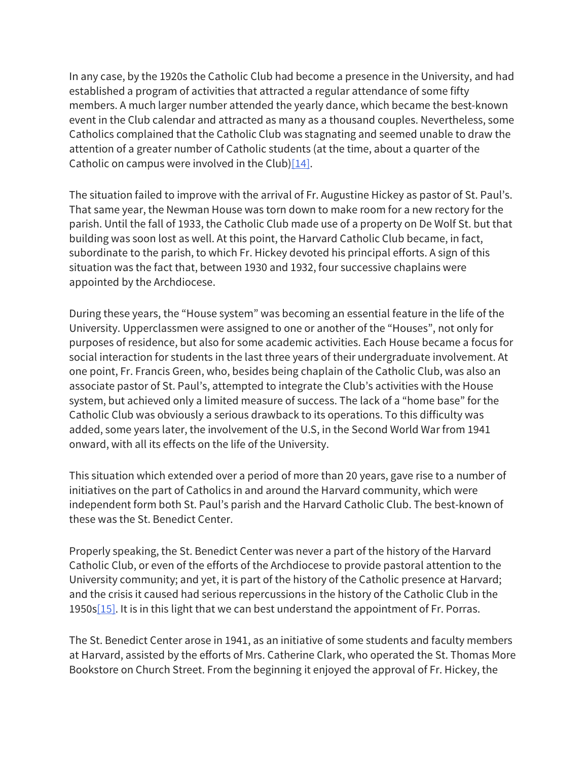In any case, by the 1920s the Catholic Club had become a presence in the University, and had established a program of activities that attracted a regular attendance of some fifty members. A much larger number attended the yearly dance, which became the best-known event in the Club calendar and attracted as many as a thousand couples. Nevertheless, some Catholics complained that the Catholic Club was stagnating and seemed unable to draw the attention of a greater number of Catholic students (at the time, about a quarter of the Catholic on campus were involved in the Club) $[14]$ .

The situation failed to improve with the arrival of Fr. Augustine Hickey as pastor of St. Paul's. That same year, the Newman House was torn down to make room for a new rectory for the parish. Until the fall of 1933, the Catholic Club made use of a property on De Wolf St. but that building was soon lost as well. At this point, the Harvard Catholic Club became, in fact, subordinate to the parish, to which Fr. Hickey devoted his principal efforts. A sign of this situation was the fact that, between 1930 and 1932, four successive chaplains were appointed by the Archdiocese.

During these years, the "House system" was becoming an essential feature in the life of the University. Upperclassmen were assigned to one or another of the "Houses", not only for purposes of residence, but also for some academic activities. Each House became a focus for social interaction for students in the last three years of their undergraduate involvement. At one point, Fr. Francis Green, who, besides being chaplain of the Catholic Club, was also an associate pastor of St. Paul's, attempted to integrate the Club's activities with the House system, but achieved only a limited measure of success. The lack of a "home base" for the Catholic Club was obviously a serious drawback to its operations. To this difficulty was added, some years later, the involvement of the U.S, in the Second World War from 1941 onward, with all its effects on the life of the University.

This situation which extended over a period of more than 20 years, gave rise to a number of initiatives on the part of Catholics in and around the Harvard community, which were independent form both St. Paul's parish and the Harvard Catholic Club. The best-known of these was the St. Benedict Center.

Properly speaking, the St. Benedict Center was never a part of the history of the Harvard Catholic Club, or even of the efforts of the Archdiocese to provide pastoral attention to the University community; and yet, it is part of the history of the Catholic presence at Harvard; and the crisis it caused had serious repercussions in the history of the Catholic Club in the 1950s $[15]$ . It is in this light that we can best understand the appointment of Fr. Porras.

The St. Benedict Center arose in 1941, as an initiative of some students and faculty members at Harvard, assisted by the efforts of Mrs. Catherine Clark, who operated the St. Thomas More Bookstore on Church Street. From the beginning it enjoyed the approval of Fr. Hickey, the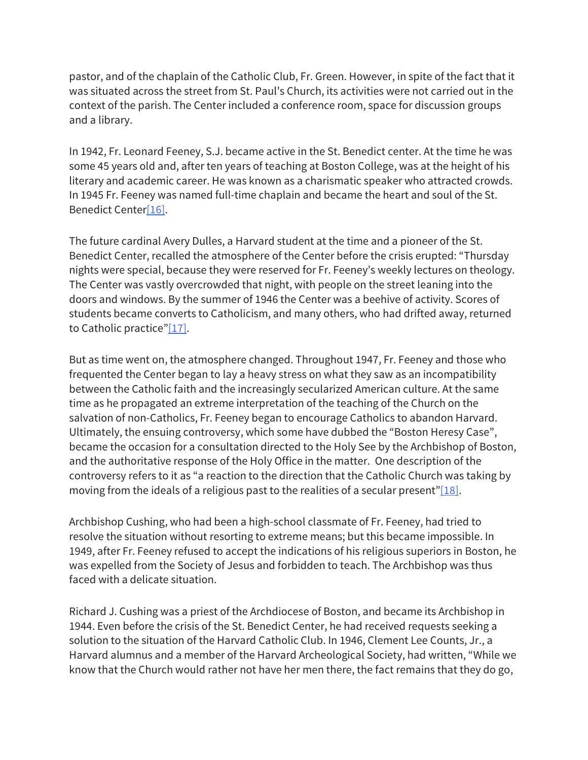pastor, and of the chaplain of the Catholic Club, Fr. Green. However, in spite of the fact that it was situated across the street from St. Paul's Church, its activities were not carried out in the context of the parish. The Center included a conference room, space for discussion groups and a library.

In 1942, Fr. Leonard Feeney, S.J. became active in the St. Benedict center. At the time he was some 45 years old and, after ten years of teaching at Boston College, was at the height of his literary and academic career. He was known as a charismatic speaker who attracted crowds. In 1945 Fr. Feeney was named full-time chaplain and became the heart and soul of the St. Benedict Center[16].

The future cardinal Avery Dulles, a Harvard student at the time and a pioneer of the St. Benedict Center, recalled the atmosphere of the Center before the crisis erupted: "Thursday nights were special, because they were reserved for Fr. Feeney's weekly lectures on theology. The Center was vastly overcrowded that night, with people on the street leaning into the doors and windows. By the summer of 1946 the Center was a beehive of activity. Scores of students became converts to Catholicism, and many others, who had drifted away, returned to Catholic practice"[17].

But as time went on, the atmosphere changed. Throughout 1947, Fr. Feeney and those who frequented the Center began to lay a heavy stress on what they saw as an incompatibility between the Catholic faith and the increasingly secularized American culture. At the same time as he propagated an extreme interpretation of the teaching of the Church on the salvation of non-Catholics, Fr. Feeney began to encourage Catholics to abandon Harvard. Ultimately, the ensuing controversy, which some have dubbed the "Boston Heresy Case", became the occasion for a consultation directed to the Holy See by the Archbishop of Boston, and the authoritative response of the Holy Office in the matter. One description of the controversy refers to it as "a reaction to the direction that the Catholic Church was taking by moving from the ideals of a religious past to the realities of a secular present" $[18]$ .

Archbishop Cushing, who had been a high-school classmate of Fr. Feeney, had tried to resolve the situation without resorting to extreme means; but this became impossible. In 1949, after Fr. Feeney refused to accept the indications of his religious superiors in Boston, he was expelled from the Society of Jesus and forbidden to teach. The Archbishop was thus faced with a delicate situation.

Richard J. Cushing was a priest of the Archdiocese of Boston, and became its Archbishop in 1944. Even before the crisis of the St. Benedict Center, he had received requests seeking a solution to the situation of the Harvard Catholic Club. In 1946, Clement Lee Counts, Jr., a Harvard alumnus and a member of the Harvard Archeological Society, had written, "While we know that the Church would rather not have her men there, the fact remains that they do go,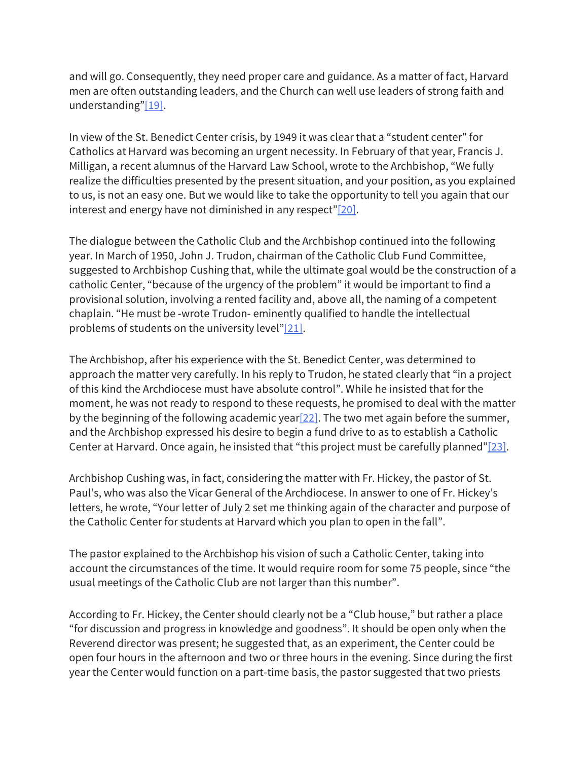and will go. Consequently, they need proper care and guidance. As a matter of fact, Harvard men are often outstanding leaders, and the Church can well use leaders of strong faith and understanding"[19].

In view of the St. Benedict Center crisis, by 1949 it was clear that a "student center" for Catholics at Harvard was becoming an urgent necessity. In February of that year, Francis J. Milligan, a recent alumnus of the Harvard Law School, wrote to the Archbishop, "We fully realize the difficulties presented by the present situation, and your position, as you explained to us, is not an easy one. But we would like to take the opportunity to tell you again that our interest and energy have not diminished in any respect" $[20]$ .

The dialogue between the Catholic Club and the Archbishop continued into the following year. In March of 1950, John J. Trudon, chairman of the Catholic Club Fund Committee, suggested to Archbishop Cushing that, while the ultimate goal would be the construction of a catholic Center, "because of the urgency of the problem" it would be important to find a provisional solution, involving a rented facility and, above all, the naming of a competent chaplain. "He must be -wrote Trudon- eminently qualified to handle the intellectual problems of students on the university level"[21].

The Archbishop, after his experience with the St. Benedict Center, was determined to approach the matter very carefully. In his reply to Trudon, he stated clearly that "in a project of this kind the Archdiocese must have absolute control". While he insisted that for the moment, he was not ready to respond to these requests, he promised to deal with the matter by the beginning of the following academic year  $[22]$ . The two met again before the summer, and the Archbishop expressed his desire to begin a fund drive to as to establish a Catholic Center at Harvard. Once again, he insisted that "this project must be carefully planned"[23].

Archbishop Cushing was, in fact, considering the matter with Fr. Hickey, the pastor of St. Paul's, who was also the Vicar General of the Archdiocese. In answer to one of Fr. Hickey's letters, he wrote, "Your letter of July 2 set me thinking again of the character and purpose of the Catholic Center for students at Harvard which you plan to open in the fall".

The pastor explained to the Archbishop his vision of such a Catholic Center, taking into account the circumstances of the time. It would require room for some 75 people, since "the usual meetings of the Catholic Club are not larger than this number".

According to Fr. Hickey, the Center should clearly not be a "Club house," but rather a place "for discussion and progress in knowledge and goodness". It should be open only when the Reverend director was present; he suggested that, as an experiment, the Center could be open four hours in the afternoon and two or three hours in the evening. Since during the first year the Center would function on a part-time basis, the pastor suggested that two priests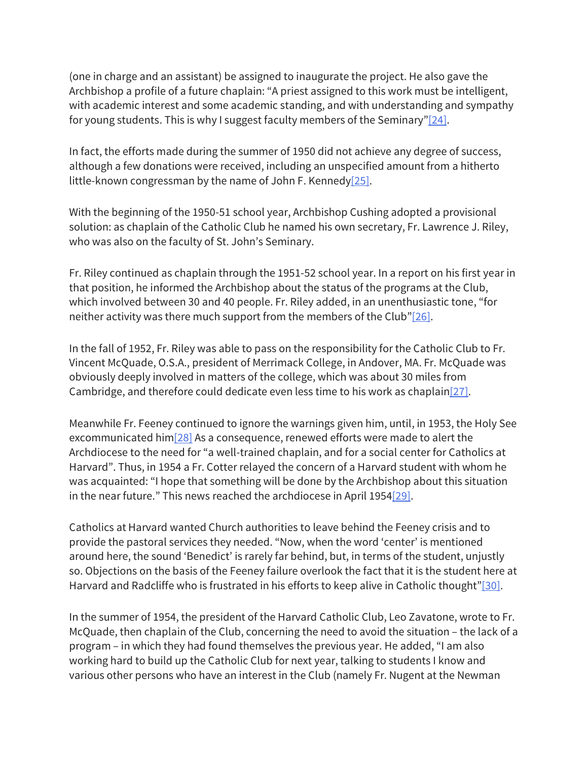(one in charge and an assistant) be assigned to inaugurate the project. He also gave the Archbishop a profile of a future chaplain: "A priest assigned to this work must be intelligent, with academic interest and some academic standing, and with understanding and sympathy for young students. This is why I suggest faculty members of the Seminary" $[24]$ .

In fact, the efforts made during the summer of 1950 did not achieve any degree of success, although a few donations were received, including an unspecified amount from a hitherto little-known congressman by the name of John F. Kennedy<sup>[25]</sup>.

With the beginning of the 1950-51 school year, Archbishop Cushing adopted a provisional solution: as chaplain of the Catholic Club he named his own secretary, Fr. Lawrence J. Riley, who was also on the faculty of St. John's Seminary.

Fr. Riley continued as chaplain through the 1951-52 school year. In a report on his first year in that position, he informed the Archbishop about the status of the programs at the Club, which involved between 30 and 40 people. Fr. Riley added, in an unenthusiastic tone, "for neither activity was there much support from the members of the Club" $[26]$ .

In the fall of 1952, Fr. Riley was able to pass on the responsibility for the Catholic Club to Fr. Vincent McQuade, O.S.A., president of Merrimack College, in Andover, MA. Fr. McQuade was obviously deeply involved in matters of the college, which was about 30 miles from Cambridge, and therefore could dedicate even less time to his work as chaplain[27].

Meanwhile Fr. Feeney continued to ignore the warnings given him, until, in 1953, the Holy See excommunicated him<sup>[28]</sup> As a consequence, renewed efforts were made to alert the Archdiocese to the need for "a well-trained chaplain, and for a social center for Catholics at Harvard". Thus, in 1954 a Fr. Cotter relayed the concern of a Harvard student with whom he was acquainted: "I hope that something will be done by the Archbishop about this situation in the near future." This news reached the archdiocese in April 1954 $[29]$ .

Catholics at Harvard wanted Church authorities to leave behind the Feeney crisis and to provide the pastoral services they needed. "Now, when the word 'center' is mentioned around here, the sound 'Benedict' is rarely far behind, but, in terms of the student, unjustly so. Objections on the basis of the Feeney failure overlook the fact that it is the student here at Harvard and Radcliffe who is frustrated in his efforts to keep alive in Catholic thought"[30].

In the summer of 1954, the president of the Harvard Catholic Club, Leo Zavatone, wrote to Fr. McQuade, then chaplain of the Club, concerning the need to avoid the situation – the lack of a program – in which they had found themselves the previous year. He added, "I am also working hard to build up the Catholic Club for next year, talking to students I know and various other persons who have an interest in the Club (namely Fr. Nugent at the Newman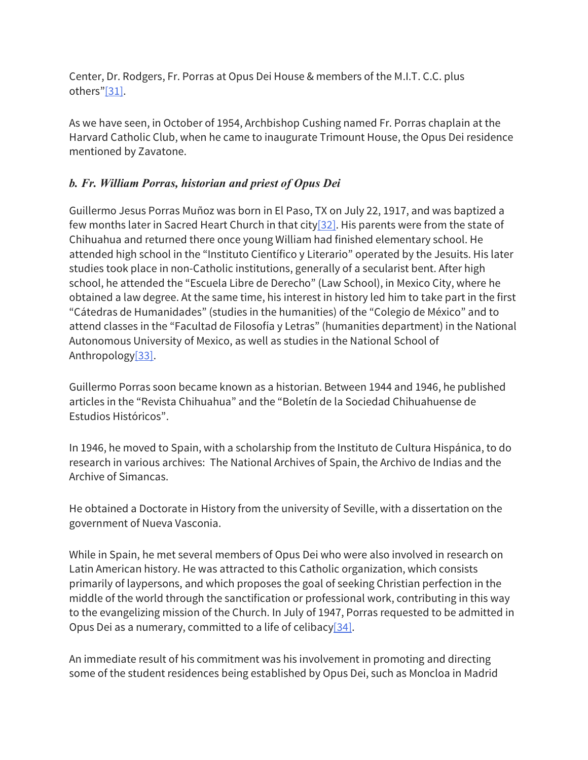Center, Dr. Rodgers, Fr. Porras at Opus Dei House & members of the M.I.T. C.C. plus others"[31].

As we have seen, in October of 1954, Archbishop Cushing named Fr. Porras chaplain at the Harvard Catholic Club, when he came to inaugurate Trimount House, the Opus Dei residence mentioned by Zavatone.

# *b. Fr. William Porras, historian and priest of Opus Dei*

Guillermo Jesus Porras Muñoz was born in El Paso, TX on July 22, 1917, and was baptized a few months later in Sacred Heart Church in that city[32]. His parents were from the state of Chihuahua and returned there once young William had finished elementary school. He attended high school in the "Instituto Científico y Literario" operated by the Jesuits. His later studies took place in non-Catholic institutions, generally of a secularist bent. After high school, he attended the "Escuela Libre de Derecho" (Law School), in Mexico City, where he obtained a law degree. At the same time, his interest in history led him to take part in the first "Cátedras de Humanidades" (studies in the humanities) of the "Colegio de México" and to attend classes in the "Facultad de Filosofía y Letras" (humanities department) in the National Autonomous University of Mexico, as well as studies in the National School of Anthropology[33].

Guillermo Porras soon became known as a historian. Between 1944 and 1946, he published articles in the "Revista Chihuahua" and the "Boletín de la Sociedad Chihuahuense de Estudios Históricos".

In 1946, he moved to Spain, with a scholarship from the Instituto de Cultura Hispánica, to do research in various archives: The National Archives of Spain, the Archivo de Indias and the Archive of Simancas.

He obtained a Doctorate in History from the university of Seville, with a dissertation on the government of Nueva Vasconia.

While in Spain, he met several members of Opus Dei who were also involved in research on Latin American history. He was attracted to this Catholic organization, which consists primarily of laypersons, and which proposes the goal of seeking Christian perfection in the middle of the world through the sanctification or professional work, contributing in this way to the evangelizing mission of the Church. In July of 1947, Porras requested to be admitted in Opus Dei as a numerary, committed to a life of celibacy  $[34]$ .

An immediate result of his commitment was his involvement in promoting and directing some of the student residences being established by Opus Dei, such as Moncloa in Madrid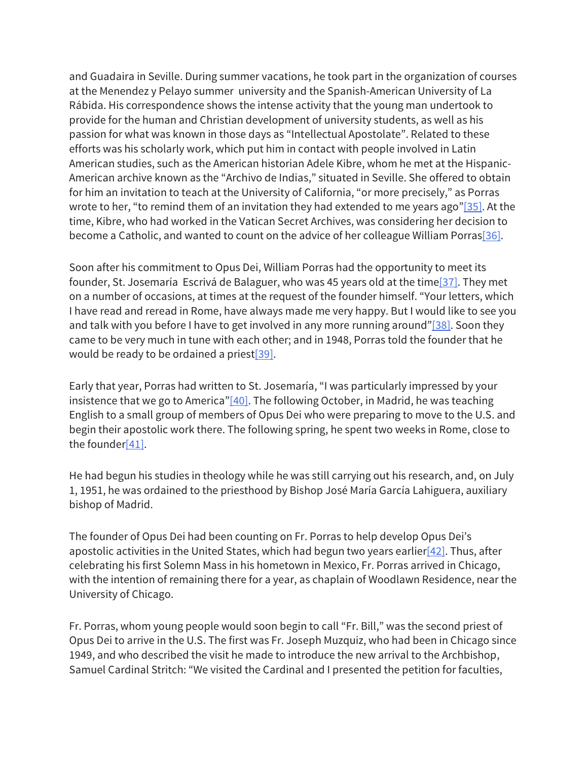and Guadaira in Seville. During summer vacations, he took part in the organization of courses at the Menendez y Pelayo summer university and the Spanish-American University of La Rábida. His correspondence shows the intense activity that the young man undertook to provide for the human and Christian development of university students, as well as his passion for what was known in those days as "Intellectual Apostolate". Related to these efforts was his scholarly work, which put him in contact with people involved in Latin American studies, such as the American historian Adele Kibre, whom he met at the Hispanic-American archive known as the "Archivo de Indias," situated in Seville. She offered to obtain for him an invitation to teach at the University of California, "or more precisely," as Porras wrote to her, "to remind them of an invitation they had extended to me years ago"[35]. At the time, Kibre, who had worked in the Vatican Secret Archives, was considering her decision to become a Catholic, and wanted to count on the advice of her colleague William Porras<sup>[36]</sup>.

Soon after his commitment to Opus Dei, William Porras had the opportunity to meet its founder, St. Josemaría Escrivá de Balaguer, who was 45 years old at the time[37]. They met on a number of occasions, at times at the request of the founder himself. "Your letters, which I have read and reread in Rome, have always made me very happy. But I would like to see you and talk with you before I have to get involved in any more running around" $[38]$ . Soon they came to be very much in tune with each other; and in 1948, Porras told the founder that he would be ready to be ordained a priest[39].

Early that year, Porras had written to St. Josemaría, "I was particularly impressed by your insistence that we go to America" $[40]$ . The following October, in Madrid, he was teaching English to a small group of members of Opus Dei who were preparing to move to the U.S. and begin their apostolic work there. The following spring, he spent two weeks in Rome, close to the founder[41].

He had begun his studies in theology while he was still carrying out his research, and, on July 1, 1951, he was ordained to the priesthood by Bishop José María García Lahiguera, auxiliary bishop of Madrid.

The founder of Opus Dei had been counting on Fr. Porras to help develop Opus Dei's apostolic activities in the United States, which had begun two years earlier $[42]$ . Thus, after celebrating his first Solemn Mass in his hometown in Mexico, Fr. Porras arrived in Chicago, with the intention of remaining there for a year, as chaplain of Woodlawn Residence, near the University of Chicago.

Fr. Porras, whom young people would soon begin to call "Fr. Bill," was the second priest of Opus Dei to arrive in the U.S. The first was Fr. Joseph Muzquiz, who had been in Chicago since 1949, and who described the visit he made to introduce the new arrival to the Archbishop, Samuel Cardinal Stritch: "We visited the Cardinal and I presented the petition for faculties,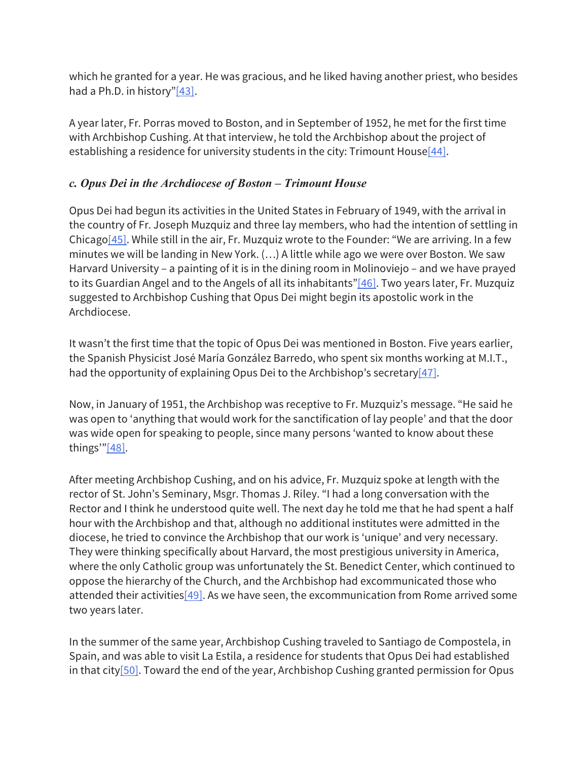which he granted for a year. He was gracious, and he liked having another priest, who besides had a Ph.D. in history"[43].

A year later, Fr. Porras moved to Boston, and in September of 1952, he met for the first time with Archbishop Cushing. At that interview, he told the Archbishop about the project of establishing a residence for university students in the city: Trimount House[44].

## *c. Opus Dei in the Archdiocese of Boston – Trimount House*

Opus Dei had begun its activities in the United States in February of 1949, with the arrival in the country of Fr. Joseph Muzquiz and three lay members, who had the intention of settling in Chicago[45]. While still in the air, Fr. Muzquiz wrote to the Founder: "We are arriving. In a few minutes we will be landing in New York. (…) A little while ago we were over Boston. We saw Harvard University – a painting of it is in the dining room in Molinoviejo – and we have prayed to its Guardian Angel and to the Angels of all its inhabitants"[46]. Two years later, Fr. Muzquiz suggested to Archbishop Cushing that Opus Dei might begin its apostolic work in the Archdiocese.

It wasn't the first time that the topic of Opus Dei was mentioned in Boston. Five years earlier, the Spanish Physicist José María González Barredo, who spent six months working at M.I.T., had the opportunity of explaining Opus Dei to the Archbishop's secretary  $[47]$ .

Now, in January of 1951, the Archbishop was receptive to Fr. Muzquiz's message. "He said he was open to 'anything that would work for the sanctification of lay people' and that the door was wide open for speaking to people, since many persons 'wanted to know about these things'" $[48]$ .

After meeting Archbishop Cushing, and on his advice, Fr. Muzquiz spoke at length with the rector of St. John's Seminary, Msgr. Thomas J. Riley. "I had a long conversation with the Rector and I think he understood quite well. The next day he told me that he had spent a half hour with the Archbishop and that, although no additional institutes were admitted in the diocese, he tried to convince the Archbishop that our work is 'unique' and very necessary. They were thinking specifically about Harvard, the most prestigious university in America, where the only Catholic group was unfortunately the St. Benedict Center, which continued to oppose the hierarchy of the Church, and the Archbishop had excommunicated those who attended their activities $[49]$ . As we have seen, the excommunication from Rome arrived some two years later.

In the summer of the same year, Archbishop Cushing traveled to Santiago de Compostela, in Spain, and was able to visit La Estila, a residence for students that Opus Dei had established in that city<sup>[50]</sup>. Toward the end of the year, Archbishop Cushing granted permission for Opus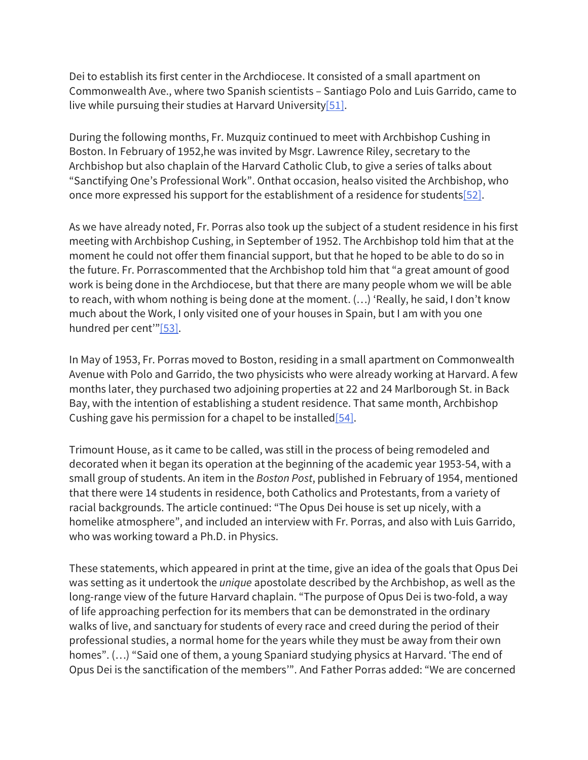Dei to establish its first center in the Archdiocese. It consisted of a small apartment on Commonwealth Ave., where two Spanish scientists – Santiago Polo and Luis Garrido, came to live while pursuing their studies at Harvard University<sup>[51]</sup>.

During the following months, Fr. Muzquiz continued to meet with Archbishop Cushing in Boston. In February of 1952,he was invited by Msgr. Lawrence Riley, secretary to the Archbishop but also chaplain of the Harvard Catholic Club, to give a series of talks about "Sanctifying One's Professional Work". Onthat occasion, healso visited the Archbishop, who once more expressed his support for the establishment of a residence for students[52].

As we have already noted, Fr. Porras also took up the subject of a student residence in his first meeting with Archbishop Cushing, in September of 1952. The Archbishop told him that at the moment he could not offer them financial support, but that he hoped to be able to do so in the future. Fr. Porrascommented that the Archbishop told him that "a great amount of good work is being done in the Archdiocese, but that there are many people whom we will be able to reach, with whom nothing is being done at the moment. (…) 'Really, he said, I don't know much about the Work, I only visited one of your houses in Spain, but I am with you one hundred per cent"<sup>[53]</sup>.

In May of 1953, Fr. Porras moved to Boston, residing in a small apartment on Commonwealth Avenue with Polo and Garrido, the two physicists who were already working at Harvard. A few months later, they purchased two adjoining properties at 22 and 24 Marlborough St. in Back Bay, with the intention of establishing a student residence. That same month, Archbishop Cushing gave his permission for a chapel to be installed  $[54]$ .

Trimount House, as it came to be called, was still in the process of being remodeled and decorated when it began its operation at the beginning of the academic year 1953-54, with a small group of students. An item in the *Boston Post*, published in February of 1954, mentioned that there were 14 students in residence, both Catholics and Protestants, from a variety of racial backgrounds. The article continued: "The Opus Dei house is set up nicely, with a homelike atmosphere", and included an interview with Fr. Porras, and also with Luis Garrido, who was working toward a Ph.D. in Physics.

These statements, which appeared in print at the time, give an idea of the goals that Opus Dei was setting as it undertook the *unique* apostolate described by the Archbishop, as well as the long-range view of the future Harvard chaplain. "The purpose of Opus Dei is two-fold, a way of life approaching perfection for its members that can be demonstrated in the ordinary walks of live, and sanctuary for students of every race and creed during the period of their professional studies, a normal home for the years while they must be away from their own homes". (…) "Said one of them, a young Spaniard studying physics at Harvard. 'The end of Opus Dei is the sanctification of the members'". And Father Porras added: "We are concerned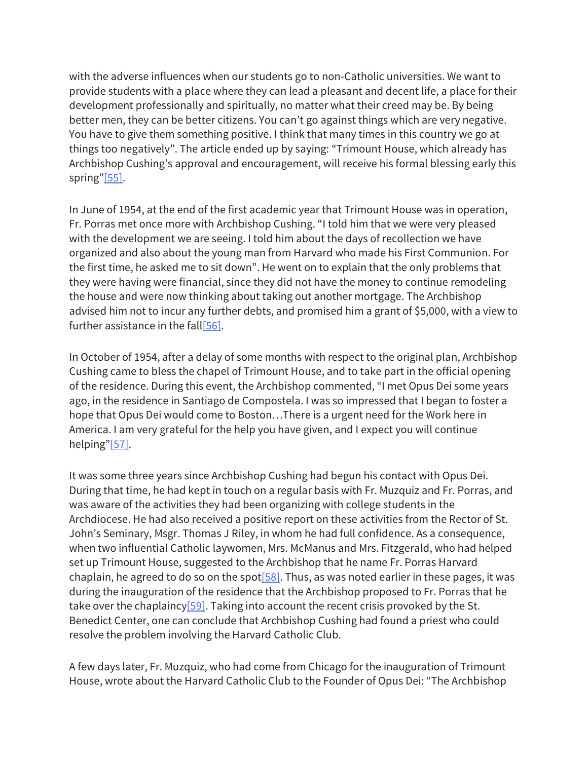with the adverse influences when our students go to non-Catholic universities. We want to provide students with a place where they can lead a pleasant and decent life, a place for their development professionally and spiritually, no matter what their creed may be. By being better men, they can be better citizens. You can't go against things which are very negative. You have to give them something positive. I think that many times in this country we go at things too negatively". The article ended up by saying: "Trimount House, which already has Archbishop Cushing's approval and encouragement, will receive his formal blessing early this spring"[55].

In June of 1954, at the end of the first academic year that Trimount House was in operation, Fr. Porras met once more with Archbishop Cushing. "I told him that we were very pleased with the development we are seeing. I told him about the days of recollection we have organized and also about the young man from Harvard who made his First Communion. For the first time, he asked me to sit down". He went on to explain that the only problems that they were having were financial, since they did not have the money to continue remodeling the house and were now thinking about taking out another mortgage. The Archbishop advised him not to incur any further debts, and promised him a grant of \$5,000, with a view to further assistance in the fall<sup>[56]</sup>.

In October of 1954, after a delay of some months with respect to the original plan, Archbishop Cushing came to bless the chapel of Trimount House, and to take part in the official opening of the residence. During this event, the Archbishop commented, "I met Opus Dei some years ago, in the residence in Santiago de Compostela. I was so impressed that I began to foster a hope that Opus Dei would come to Boston…There is a urgent need for the Work here in America. I am very grateful for the help you have given, and I expect you will continue helping"[57].

It was some three years since Archbishop Cushing had begun his contact with Opus Dei. During that time, he had kept in touch on a regular basis with Fr. Muzquiz and Fr. Porras, and was aware of the activities they had been organizing with college students in the Archdiocese. He had also received a positive report on these activities from the Rector of St. John's Seminary, Msgr. Thomas J Riley, in whom he had full confidence. As a consequence, when two influential Catholic laywomen, Mrs. McManus and Mrs. Fitzgerald, who had helped set up Trimount House, suggested to the Archbishop that he name Fr. Porras Harvard chaplain, he agreed to do so on the spot $[58]$ . Thus, as was noted earlier in these pages, it was during the inauguration of the residence that the Archbishop proposed to Fr. Porras that he take over the chaplaincy $[59]$ . Taking into account the recent crisis provoked by the St. Benedict Center, one can conclude that Archbishop Cushing had found a priest who could resolve the problem involving the Harvard Catholic Club.

A few days later, Fr. Muzquiz, who had come from Chicago for the inauguration of Trimount House, wrote about the Harvard Catholic Club to the Founder of Opus Dei: "The Archbishop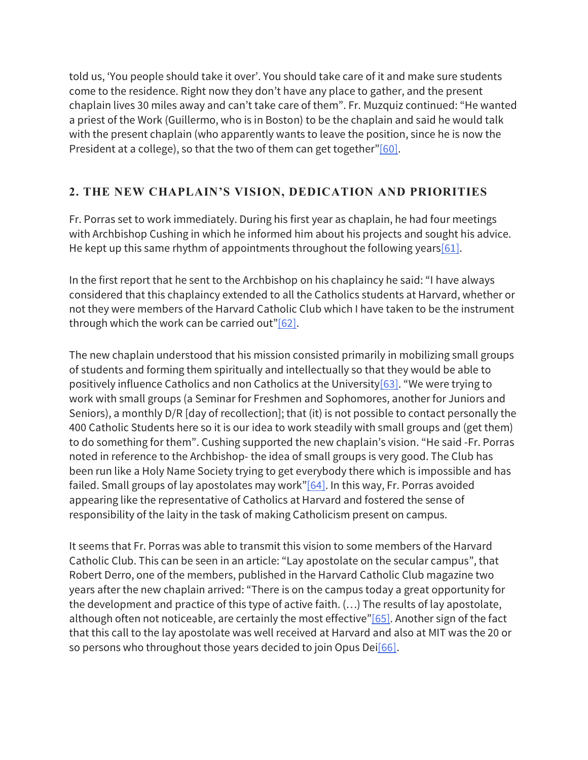told us, 'You people should take it over'. You should take care of it and make sure students come to the residence. Right now they don't have any place to gather, and the present chaplain lives 30 miles away and can't take care of them". Fr. Muzquiz continued: "He wanted a priest of the Work (Guillermo, who is in Boston) to be the chaplain and said he would talk with the present chaplain (who apparently wants to leave the position, since he is now the President at a college), so that the two of them can get together"[60].

# **2. THE NEW CHAPLAIN'S VISION, DEDICATION AND PRIORITIES**

Fr. Porras set to work immediately. During his first year as chaplain, he had four meetings with Archbishop Cushing in which he informed him about his projects and sought his advice. He kept up this same rhythm of appointments throughout the following years [61].

In the first report that he sent to the Archbishop on his chaplaincy he said: "I have always considered that this chaplaincy extended to all the Catholics students at Harvard, whether or not they were members of the Harvard Catholic Club which I have taken to be the instrument through which the work can be carried out" $[62]$ .

The new chaplain understood that his mission consisted primarily in mobilizing small groups of students and forming them spiritually and intellectually so that they would be able to positively influence Catholics and non Catholics at the University[63]. "We were trying to work with small groups (a Seminar for Freshmen and Sophomores, another for Juniors and Seniors), a monthly D/R [day of recollection]; that (it) is not possible to contact personally the 400 Catholic Students here so it is our idea to work steadily with small groups and (get them) to do something for them". Cushing supported the new chaplain's vision. "He said -Fr. Porras noted in reference to the Archbishop- the idea of small groups is very good. The Club has been run like a Holy Name Society trying to get everybody there which is impossible and has failed. Small groups of lay apostolates may work" $[64]$ . In this way, Fr. Porras avoided appearing like the representative of Catholics at Harvard and fostered the sense of responsibility of the laity in the task of making Catholicism present on campus.

It seems that Fr. Porras was able to transmit this vision to some members of the Harvard Catholic Club. This can be seen in an article: "Lay apostolate on the secular campus", that Robert Derro, one of the members, published in the Harvard Catholic Club magazine two years after the new chaplain arrived: "There is on the campus today a great opportunity for the development and practice of this type of active faith. (…) The results of lay apostolate, although often not noticeable, are certainly the most effective"[65]. Another sign of the fact that this call to the lay apostolate was well received at Harvard and also at MIT was the 20 or so persons who throughout those years decided to join Opus Dei[66].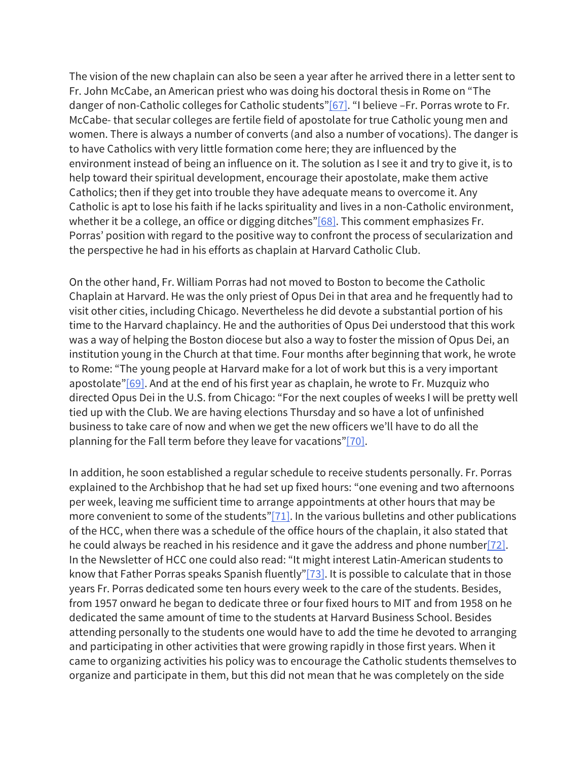The vision of the new chaplain can also be seen a year after he arrived there in a letter sent to Fr. John McCabe, an American priest who was doing his doctoral thesis in Rome on "The danger of non-Catholic colleges for Catholic students"[67]. "I believe -Fr. Porras wrote to Fr. McCabe- that secular colleges are fertile field of apostolate for true Catholic young men and women. There is always a number of converts (and also a number of vocations). The danger is to have Catholics with very little formation come here; they are influenced by the environment instead of being an influence on it. The solution as I see it and try to give it, is to help toward their spiritual development, encourage their apostolate, make them active Catholics; then if they get into trouble they have adequate means to overcome it. Any Catholic is apt to lose his faith if he lacks spirituality and lives in a non-Catholic environment, whether it be a college, an office or digging ditches"[68]. This comment emphasizes Fr. Porras' position with regard to the positive way to confront the process of secularization and the perspective he had in his efforts as chaplain at Harvard Catholic Club.

On the other hand, Fr. William Porras had not moved to Boston to become the Catholic Chaplain at Harvard. He was the only priest of Opus Dei in that area and he frequently had to visit other cities, including Chicago. Nevertheless he did devote a substantial portion of his time to the Harvard chaplaincy. He and the authorities of Opus Dei understood that this work was a way of helping the Boston diocese but also a way to foster the mission of Opus Dei, an institution young in the Church at that time. Four months after beginning that work, he wrote to Rome: "The young people at Harvard make for a lot of work but this is a very important apostolate" $[69]$ . And at the end of his first year as chaplain, he wrote to Fr. Muzquiz who directed Opus Dei in the U.S. from Chicago: "For the next couples of weeks I will be pretty well tied up with the Club. We are having elections Thursday and so have a lot of unfinished business to take care of now and when we get the new officers we'll have to do all the planning for the Fall term before they leave for vacations"[70].

In addition, he soon established a regular schedule to receive students personally. Fr. Porras explained to the Archbishop that he had set up fixed hours: "one evening and two afternoons per week, leaving me sufficient time to arrange appointments at other hours that may be more convenient to some of the students" $[71]$ . In the various bulletins and other publications of the HCC, when there was a schedule of the office hours of the chaplain, it also stated that he could always be reached in his residence and it gave the address and phone number[72]. In the Newsletter of HCC one could also read: "It might interest Latin-American students to know that Father Porras speaks Spanish fluently"[73]. It is possible to calculate that in those years Fr. Porras dedicated some ten hours every week to the care of the students. Besides, from 1957 onward he began to dedicate three or four fixed hours to MIT and from 1958 on he dedicated the same amount of time to the students at Harvard Business School. Besides attending personally to the students one would have to add the time he devoted to arranging and participating in other activities that were growing rapidly in those first years. When it came to organizing activities his policy was to encourage the Catholic students themselves to organize and participate in them, but this did not mean that he was completely on the side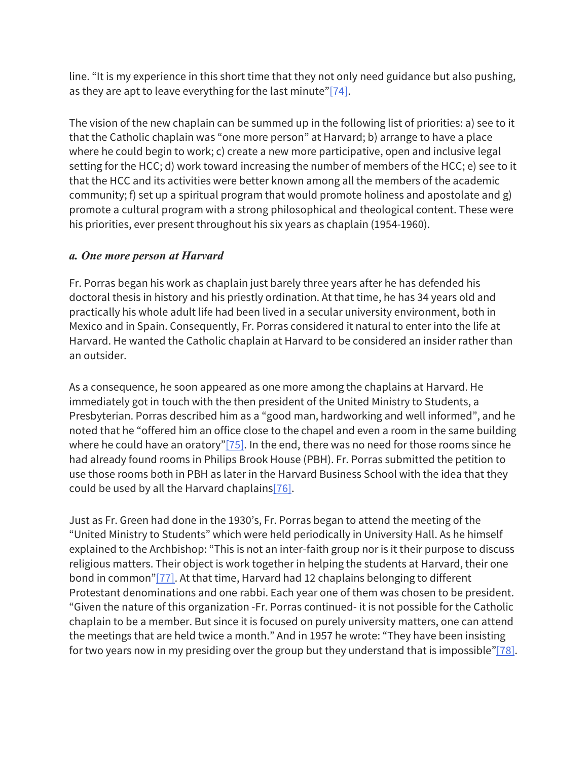line. "It is my experience in this short time that they not only need guidance but also pushing, as they are apt to leave everything for the last minute"[74].

The vision of the new chaplain can be summed up in the following list of priorities: a) see to it that the Catholic chaplain was "one more person" at Harvard; b) arrange to have a place where he could begin to work; c) create a new more participative, open and inclusive legal setting for the HCC; d) work toward increasing the number of members of the HCC; e) see to it that the HCC and its activities were better known among all the members of the academic community; f) set up a spiritual program that would promote holiness and apostolate and g) promote a cultural program with a strong philosophical and theological content. These were his priorities, ever present throughout his six years as chaplain (1954-1960).

## *a. One more person at Harvard*

Fr. Porras began his work as chaplain just barely three years after he has defended his doctoral thesis in history and his priestly ordination. At that time, he has 34 years old and practically his whole adult life had been lived in a secular university environment, both in Mexico and in Spain. Consequently, Fr. Porras considered it natural to enter into the life at Harvard. He wanted the Catholic chaplain at Harvard to be considered an insider rather than an outsider.

As a consequence, he soon appeared as one more among the chaplains at Harvard. He immediately got in touch with the then president of the United Ministry to Students, a Presbyterian. Porras described him as a "good man, hardworking and well informed", and he noted that he "offered him an office close to the chapel and even a room in the same building where he could have an oratory"[75]. In the end, there was no need for those rooms since he had already found rooms in Philips Brook House (PBH). Fr. Porras submitted the petition to use those rooms both in PBH as later in the Harvard Business School with the idea that they could be used by all the Harvard chaplains  $[76]$ .

Just as Fr. Green had done in the 1930's, Fr. Porras began to attend the meeting of the "United Ministry to Students" which were held periodically in University Hall. As he himself explained to the Archbishop: "This is not an inter-faith group nor is it their purpose to discuss religious matters. Their object is work together in helping the students at Harvard, their one bond in common"[77]. At that time, Harvard had 12 chaplains belonging to different Protestant denominations and one rabbi. Each year one of them was chosen to be president. "Given the nature of this organization -Fr. Porras continued- it is not possible for the Catholic chaplain to be a member. But since it is focused on purely university matters, one can attend the meetings that are held twice a month." And in 1957 he wrote: "They have been insisting for two years now in my presiding over the group but they understand that is impossible" $[78]$ .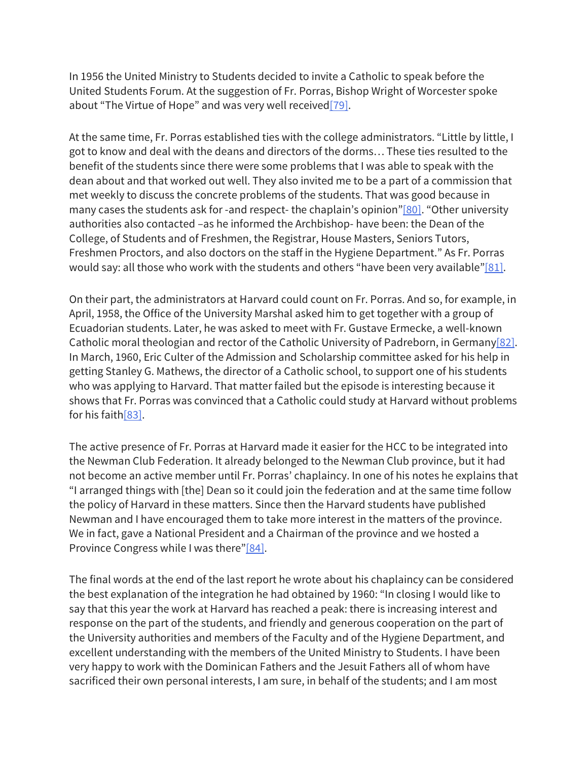In 1956 the United Ministry to Students decided to invite a Catholic to speak before the United Students Forum. At the suggestion of Fr. Porras, Bishop Wright of Worcester spoke about "The Virtue of Hope" and was very well received<sup>[79]</sup>.

At the same time, Fr. Porras established ties with the college administrators. "Little by little, I got to know and deal with the deans and directors of the dorms… These ties resulted to the benefit of the students since there were some problems that I was able to speak with the dean about and that worked out well. They also invited me to be a part of a commission that met weekly to discuss the concrete problems of the students. That was good because in many cases the students ask for -and respect- the chaplain's opinion"[80]. "Other university authorities also contacted –as he informed the Archbishop- have been: the Dean of the College, of Students and of Freshmen, the Registrar, House Masters, Seniors Tutors, Freshmen Proctors, and also doctors on the staff in the Hygiene Department." As Fr. Porras would say: all those who work with the students and others "have been very available" $[81]$ .

On their part, the administrators at Harvard could count on Fr. Porras. And so, for example, in April, 1958, the Office of the University Marshal asked him to get together with a group of Ecuadorian students. Later, he was asked to meet with Fr. Gustave Ermecke, a well-known Catholic moral theologian and rector of the Catholic University of Padreborn, in Germany[82]. In March, 1960, Eric Culter of the Admission and Scholarship committee asked for his help in getting Stanley G. Mathews, the director of a Catholic school, to support one of his students who was applying to Harvard. That matter failed but the episode is interesting because it shows that Fr. Porras was convinced that a Catholic could study at Harvard without problems for his faith[83].

The active presence of Fr. Porras at Harvard made it easier for the HCC to be integrated into the Newman Club Federation. It already belonged to the Newman Club province, but it had not become an active member until Fr. Porras' chaplaincy. In one of his notes he explains that "I arranged things with [the] Dean so it could join the federation and at the same time follow the policy of Harvard in these matters. Since then the Harvard students have published Newman and I have encouraged them to take more interest in the matters of the province. We in fact, gave a National President and a Chairman of the province and we hosted a Province Congress while I was there"[84].

The final words at the end of the last report he wrote about his chaplaincy can be considered the best explanation of the integration he had obtained by 1960: "In closing I would like to say that this year the work at Harvard has reached a peak: there is increasing interest and response on the part of the students, and friendly and generous cooperation on the part of the University authorities and members of the Faculty and of the Hygiene Department, and excellent understanding with the members of the United Ministry to Students. I have been very happy to work with the Dominican Fathers and the Jesuit Fathers all of whom have sacrificed their own personal interests, I am sure, in behalf of the students; and I am most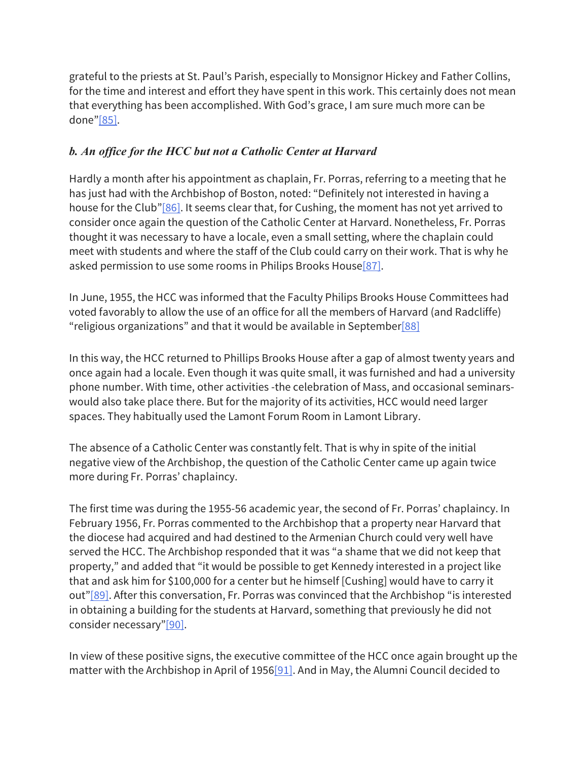grateful to the priests at St. Paul's Parish, especially to Monsignor Hickey and Father Collins, for the time and interest and effort they have spent in this work. This certainly does not mean that everything has been accomplished. With God's grace, I am sure much more can be done"[85].

# *b. An office for the HCC but not a Catholic Center at Harvard*

Hardly a month after his appointment as chaplain, Fr. Porras, referring to a meeting that he has just had with the Archbishop of Boston, noted: "Definitely not interested in having a house for the Club"[86]. It seems clear that, for Cushing, the moment has not yet arrived to consider once again the question of the Catholic Center at Harvard. Nonetheless, Fr. Porras thought it was necessary to have a locale, even a small setting, where the chaplain could meet with students and where the staff of the Club could carry on their work. That is why he asked permission to use some rooms in Philips Brooks House<sup>[87]</sup>.

In June, 1955, the HCC was informed that the Faculty Philips Brooks House Committees had voted favorably to allow the use of an office for all the members of Harvard (and Radcliffe) "religious organizations" and that it would be available in September $[88]$ 

In this way, the HCC returned to Phillips Brooks House after a gap of almost twenty years and once again had a locale. Even though it was quite small, it was furnished and had a university phone number. With time, other activities -the celebration of Mass, and occasional seminarswould also take place there. But for the majority of its activities, HCC would need larger spaces. They habitually used the Lamont Forum Room in Lamont Library.

The absence of a Catholic Center was constantly felt. That is why in spite of the initial negative view of the Archbishop, the question of the Catholic Center came up again twice more during Fr. Porras' chaplaincy.

The first time was during the 1955-56 academic year, the second of Fr. Porras' chaplaincy. In February 1956, Fr. Porras commented to the Archbishop that a property near Harvard that the diocese had acquired and had destined to the Armenian Church could very well have served the HCC. The Archbishop responded that it was "a shame that we did not keep that property," and added that "it would be possible to get Kennedy interested in a project like that and ask him for \$100,000 for a center but he himself [Cushing] would have to carry it out"[89]. After this conversation, Fr. Porras was convinced that the Archbishop "is interested in obtaining a building for the students at Harvard, something that previously he did not consider necessary"[90].

In view of these positive signs, the executive committee of the HCC once again brought up the matter with the Archbishop in April of 1956[91]. And in May, the Alumni Council decided to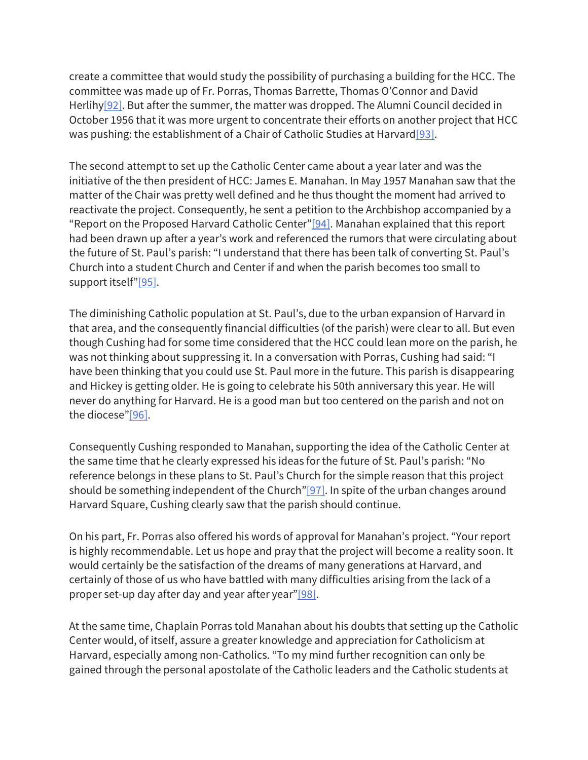create a committee that would study the possibility of purchasing a building for the HCC. The committee was made up of Fr. Porras, Thomas Barrette, Thomas O'Connor and David Herlihy<sup>[92]</sup>. But after the summer, the matter was dropped. The Alumni Council decided in October 1956 that it was more urgent to concentrate their efforts on another project that HCC was pushing: the establishment of a Chair of Catholic Studies at Harvard<sup>[93]</sup>.

The second attempt to set up the Catholic Center came about a year later and was the initiative of the then president of HCC: James E. Manahan. In May 1957 Manahan saw that the matter of the Chair was pretty well defined and he thus thought the moment had arrived to reactivate the project. Consequently, he sent a petition to the Archbishop accompanied by a "Report on the Proposed Harvard Catholic Center" $[94]$ . Manahan explained that this report had been drawn up after a year's work and referenced the rumors that were circulating about the future of St. Paul's parish: "I understand that there has been talk of converting St. Paul's Church into a student Church and Center if and when the parish becomes too small to support itself"[95].

The diminishing Catholic population at St. Paul's, due to the urban expansion of Harvard in that area, and the consequently financial difficulties (of the parish) were clear to all. But even though Cushing had for some time considered that the HCC could lean more on the parish, he was not thinking about suppressing it. In a conversation with Porras, Cushing had said: "I have been thinking that you could use St. Paul more in the future. This parish is disappearing and Hickey is getting older. He is going to celebrate his 50th anniversary this year. He will never do anything for Harvard. He is a good man but too centered on the parish and not on the diocese"[96].

Consequently Cushing responded to Manahan, supporting the idea of the Catholic Center at the same time that he clearly expressed his ideas for the future of St. Paul's parish: "No reference belongs in these plans to St. Paul's Church for the simple reason that this project should be something independent of the Church" $[97]$ . In spite of the urban changes around Harvard Square, Cushing clearly saw that the parish should continue.

On his part, Fr. Porras also offered his words of approval for Manahan's project. "Your report is highly recommendable. Let us hope and pray that the project will become a reality soon. It would certainly be the satisfaction of the dreams of many generations at Harvard, and certainly of those of us who have battled with many difficulties arising from the lack of a proper set-up day after day and year after year"[98].

At the same time, Chaplain Porras told Manahan about his doubts that setting up the Catholic Center would, of itself, assure a greater knowledge and appreciation for Catholicism at Harvard, especially among non-Catholics. "To my mind further recognition can only be gained through the personal apostolate of the Catholic leaders and the Catholic students at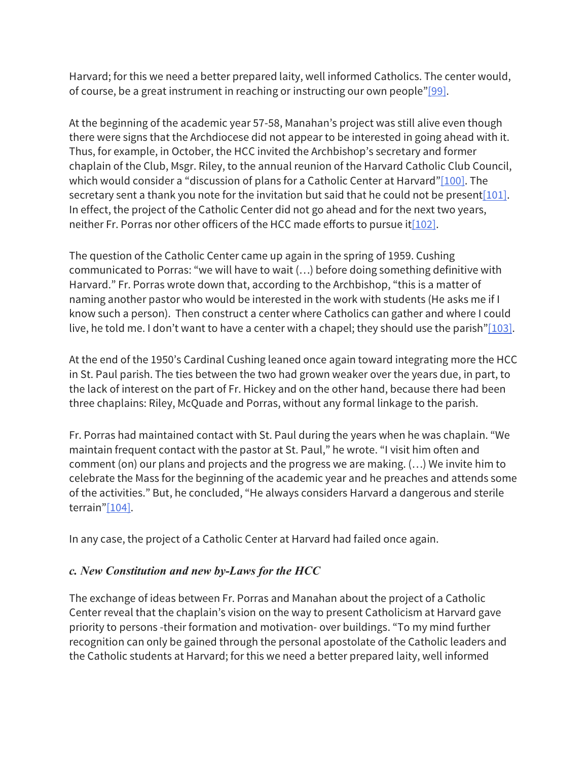Harvard; for this we need a better prepared laity, well informed Catholics. The center would, of course, be a great instrument in reaching or instructing our own people"[99].

At the beginning of the academic year 57-58, Manahan's project was still alive even though there were signs that the Archdiocese did not appear to be interested in going ahead with it. Thus, for example, in October, the HCC invited the Archbishop's secretary and former chaplain of the Club, Msgr. Riley, to the annual reunion of the Harvard Catholic Club Council, which would consider a "discussion of plans for a Catholic Center at Harvard"[100]. The secretary sent a thank you note for the invitation but said that he could not be present [101]. In effect, the project of the Catholic Center did not go ahead and for the next two years, neither Fr. Porras nor other officers of the HCC made efforts to pursue it  $[102]$ .

The question of the Catholic Center came up again in the spring of 1959. Cushing communicated to Porras: "we will have to wait (…) before doing something definitive with Harvard." Fr. Porras wrote down that, according to the Archbishop, "this is a matter of naming another pastor who would be interested in the work with students (He asks me if I know such a person). Then construct a center where Catholics can gather and where I could live, he told me. I don't want to have a center with a chapel; they should use the parish"[103].

At the end of the 1950's Cardinal Cushing leaned once again toward integrating more the HCC in St. Paul parish. The ties between the two had grown weaker over the years due, in part, to the lack of interest on the part of Fr. Hickey and on the other hand, because there had been three chaplains: Riley, McQuade and Porras, without any formal linkage to the parish.

Fr. Porras had maintained contact with St. Paul during the years when he was chaplain. "We maintain frequent contact with the pastor at St. Paul," he wrote. "I visit him often and comment (on) our plans and projects and the progress we are making. (…) We invite him to celebrate the Mass for the beginning of the academic year and he preaches and attends some of the activities." But, he concluded, "He always considers Harvard a dangerous and sterile terrain"[104].

In any case, the project of a Catholic Center at Harvard had failed once again.

#### *c. New Constitution and new by-Laws for the HCC*

The exchange of ideas between Fr. Porras and Manahan about the project of a Catholic Center reveal that the chaplain's vision on the way to present Catholicism at Harvard gave priority to persons -their formation and motivation- over buildings. "To my mind further recognition can only be gained through the personal apostolate of the Catholic leaders and the Catholic students at Harvard; for this we need a better prepared laity, well informed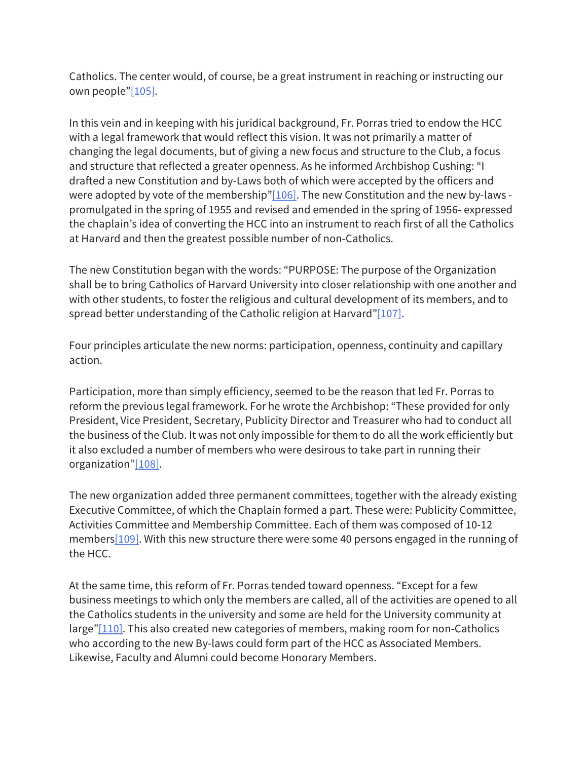Catholics. The center would, of course, be a great instrument in reaching or instructing our own people"[105].

In this vein and in keeping with his juridical background, Fr. Porras tried to endow the HCC with a legal framework that would reflect this vision. It was not primarily a matter of changing the legal documents, but of giving a new focus and structure to the Club, a focus and structure that reflected a greater openness. As he informed Archbishop Cushing: "I drafted a new Constitution and by-Laws both of which were accepted by the officers and were adopted by vote of the membership" $[106]$ . The new Constitution and the new by-laws promulgated in the spring of 1955 and revised and emended in the spring of 1956- expressed the chaplain's idea of converting the HCC into an instrument to reach first of all the Catholics at Harvard and then the greatest possible number of non-Catholics.

The new Constitution began with the words: "PURPOSE: The purpose of the Organization shall be to bring Catholics of Harvard University into closer relationship with one another and with other students, to foster the religious and cultural development of its members, and to spread better understanding of the Catholic religion at Harvard"[107].

Four principles articulate the new norms: participation, openness, continuity and capillary action.

Participation, more than simply efficiency, seemed to be the reason that led Fr. Porras to reform the previous legal framework. For he wrote the Archbishop: "These provided for only President, Vice President, Secretary, Publicity Director and Treasurer who had to conduct all the business of the Club. It was not only impossible for them to do all the work efficiently but it also excluded a number of members who were desirous to take part in running their organization"[108].

The new organization added three permanent committees, together with the already existing Executive Committee, of which the Chaplain formed a part. These were: Publicity Committee, Activities Committee and Membership Committee. Each of them was composed of 10-12 members[109]. With this new structure there were some 40 persons engaged in the running of the HCC.

At the same time, this reform of Fr. Porras tended toward openness. "Except for a few business meetings to which only the members are called, all of the activities are opened to all the Catholics students in the university and some are held for the University community at large"[110]. This also created new categories of members, making room for non-Catholics who according to the new By-laws could form part of the HCC as Associated Members. Likewise, Faculty and Alumni could become Honorary Members.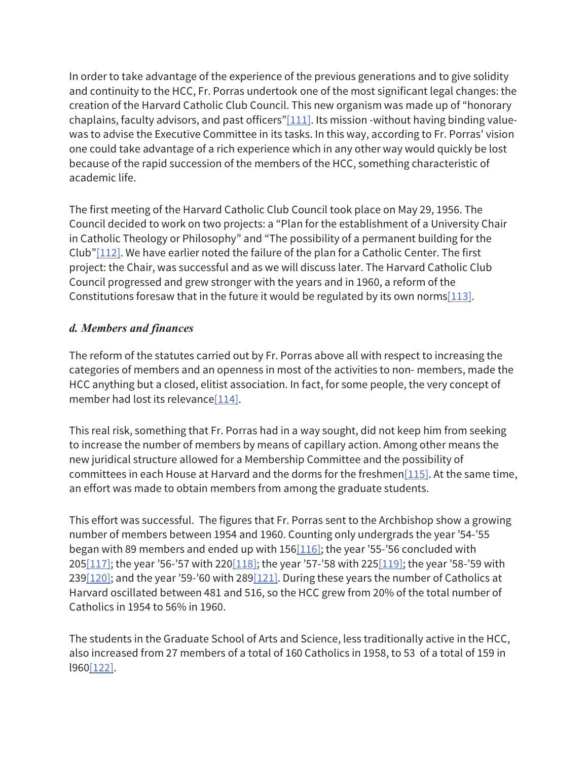In order to take advantage of the experience of the previous generations and to give solidity and continuity to the HCC, Fr. Porras undertook one of the most significant legal changes: the creation of the Harvard Catholic Club Council. This new organism was made up of "honorary chaplains, faculty advisors, and past officers" $[111]$ . Its mission -without having binding valuewas to advise the Executive Committee in its tasks. In this way, according to Fr. Porras' vision one could take advantage of a rich experience which in any other way would quickly be lost because of the rapid succession of the members of the HCC, something characteristic of academic life.

The first meeting of the Harvard Catholic Club Council took place on May 29, 1956. The Council decided to work on two projects: a "Plan for the establishment of a University Chair in Catholic Theology or Philosophy" and "The possibility of a permanent building for the Club" $[112]$ . We have earlier noted the failure of the plan for a Catholic Center. The first project: the Chair, was successful and as we will discuss later. The Harvard Catholic Club Council progressed and grew stronger with the years and in 1960, a reform of the Constitutions foresaw that in the future it would be regulated by its own norms [113].

#### *d. Members and finances*

The reform of the statutes carried out by Fr. Porras above all with respect to increasing the categories of members and an openness in most of the activities to non- members, made the HCC anything but a closed, elitist association. In fact, for some people, the very concept of member had lost its relevance[114].

This real risk, something that Fr. Porras had in a way sought, did not keep him from seeking to increase the number of members by means of capillary action. Among other means the new juridical structure allowed for a Membership Committee and the possibility of committees in each House at Harvard and the dorms for the freshmen $[115]$ . At the same time, an effort was made to obtain members from among the graduate students.

This effort was successful. The figures that Fr. Porras sent to the Archbishop show a growing number of members between 1954 and 1960. Counting only undergrads the year '54-'55 began with 89 members and ended up with  $156[116]$ ; the year '55-'56 concluded with 205 $[117]$ ; the year '56-'57 with 220 $[118]$ ; the year '57-'58 with 225 $[119]$ ; the year '58-'59 with 239 $[120]$ ; and the year '59-'60 with 289 $[121]$ . During these years the number of Catholics at Harvard oscillated between 481 and 516, so the HCC grew from 20% of the total number of Catholics in 1954 to 56% in 1960.

The students in the Graduate School of Arts and Science, less traditionally active in the HCC, also increased from 27 members of a total of 160 Catholics in 1958, to 53 of a total of 159 in l960[122].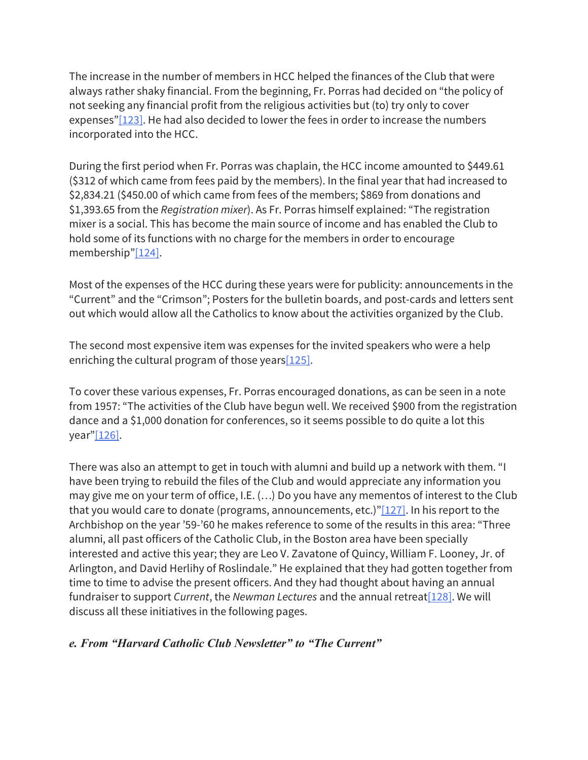The increase in the number of members in HCC helped the finances of the Club that were always rather shaky financial. From the beginning, Fr. Porras had decided on "the policy of not seeking any financial profit from the religious activities but (to) try only to cover expenses"[123]. He had also decided to lower the fees in order to increase the numbers incorporated into the HCC.

During the first period when Fr. Porras was chaplain, the HCC income amounted to \$449.61 (\$312 of which came from fees paid by the members). In the final year that had increased to \$2,834.21 (\$450.00 of which came from fees of the members; \$869 from donations and \$1,393.65 from the *Registration mixer*). As Fr. Porras himself explained: "The registration mixer is a social. This has become the main source of income and has enabled the Club to hold some of its functions with no charge for the members in order to encourage membership"[124].

Most of the expenses of the HCC during these years were for publicity: announcements in the "Current" and the "Crimson"; Posters for the bulletin boards, and post-cards and letters sent out which would allow all the Catholics to know about the activities organized by the Club.

The second most expensive item was expenses for the invited speakers who were a help enriching the cultural program of those years [125].

To cover these various expenses, Fr. Porras encouraged donations, as can be seen in a note from 1957: "The activities of the Club have begun well. We received \$900 from the registration dance and a \$1,000 donation for conferences, so it seems possible to do quite a lot this year"[126].

There was also an attempt to get in touch with alumni and build up a network with them. "I have been trying to rebuild the files of the Club and would appreciate any information you may give me on your term of office, I.E. (…) Do you have any mementos of interest to the Club that you would care to donate (programs, announcements, etc.)" $[127]$ . In his report to the Archbishop on the year '59-'60 he makes reference to some of the results in this area: "Three alumni, all past officers of the Catholic Club, in the Boston area have been specially interested and active this year; they are Leo V. Zavatone of Quincy, William F. Looney, Jr. of Arlington, and David Herlihy of Roslindale." He explained that they had gotten together from time to time to advise the present officers. And they had thought about having an annual fundraiser to support *Current*, the *Newman Lectures* and the annual retreat[128]. We will discuss all these initiatives in the following pages.

*e. From "Harvard Catholic Club Newsletter" to "The Current"*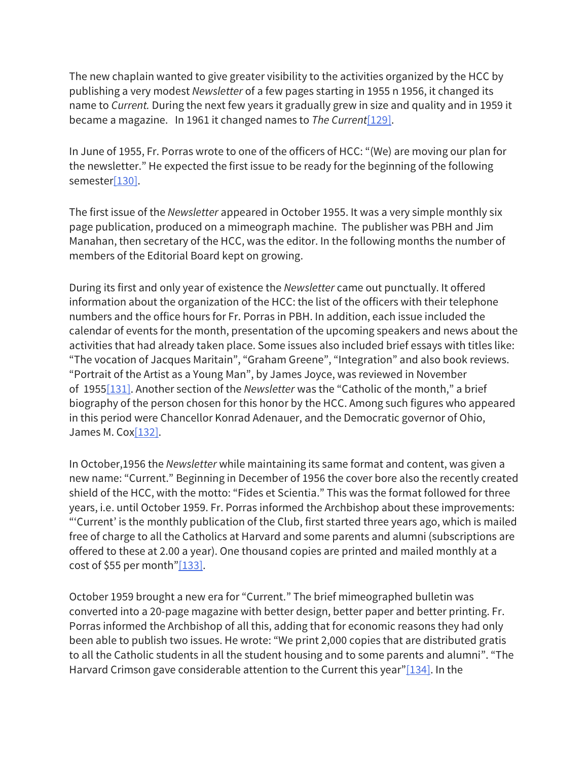The new chaplain wanted to give greater visibility to the activities organized by the HCC by publishing a very modest *Newsletter* of a few pages starting in 1955 n 1956, it changed its name to *Current.* During the next few years it gradually grew in size and quality and in 1959 it became a magazine. In 1961 it changed names to *The Current*[129].

In June of 1955, Fr. Porras wrote to one of the officers of HCC: "(We) are moving our plan for the newsletter." He expected the first issue to be ready for the beginning of the following semester[130].

The first issue of the *Newsletter* appeared in October 1955. It was a very simple monthly six page publication, produced on a mimeograph machine. The publisher was PBH and Jim Manahan, then secretary of the HCC, was the editor. In the following months the number of members of the Editorial Board kept on growing.

During its first and only year of existence the *Newsletter* came out punctually. It offered information about the organization of the HCC: the list of the officers with their telephone numbers and the office hours for Fr. Porras in PBH. In addition, each issue included the calendar of events for the month, presentation of the upcoming speakers and news about the activities that had already taken place. Some issues also included brief essays with titles like: "The vocation of Jacques Maritain", "Graham Greene", "Integration" and also book reviews. "Portrait of the Artist as a Young Man", by James Joyce, was reviewed in November of 1955[131]. Another section of the *Newsletter* was the "Catholic of the month," a brief biography of the person chosen for this honor by the HCC. Among such figures who appeared in this period were Chancellor Konrad Adenauer, and the Democratic governor of Ohio, James M. Cox[132].

In October,1956 the *Newsletter* while maintaining its same format and content, was given a new name: "Current." Beginning in December of 1956 the cover bore also the recently created shield of the HCC, with the motto: "Fides et Scientia." This was the format followed for three years, i.e. until October 1959. Fr. Porras informed the Archbishop about these improvements: "'Current' is the monthly publication of the Club, first started three years ago, which is mailed free of charge to all the Catholics at Harvard and some parents and alumni (subscriptions are offered to these at 2.00 a year). One thousand copies are printed and mailed monthly at a cost of \$55 per month" $[133]$ .

October 1959 brought a new era for "Current." The brief mimeographed bulletin was converted into a 20-page magazine with better design, better paper and better printing. Fr. Porras informed the Archbishop of all this, adding that for economic reasons they had only been able to publish two issues. He wrote: "We print 2,000 copies that are distributed gratis to all the Catholic students in all the student housing and to some parents and alumni". "The Harvard Crimson gave considerable attention to the Current this year"[134]. In the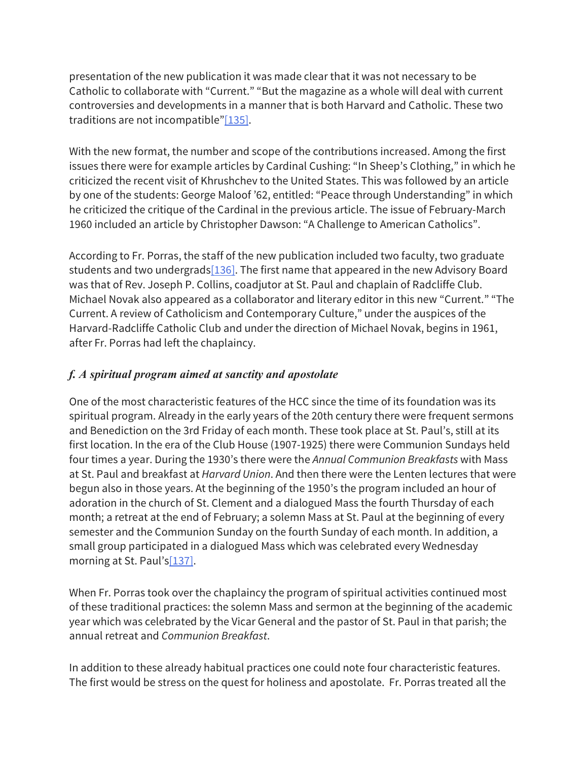presentation of the new publication it was made clear that it was not necessary to be Catholic to collaborate with "Current." "But the magazine as a whole will deal with current controversies and developments in a manner that is both Harvard and Catholic. These two traditions are not incompatible" $[135]$ .

With the new format, the number and scope of the contributions increased. Among the first issues there were for example articles by Cardinal Cushing: "In Sheep's Clothing," in which he criticized the recent visit of Khrushchev to the United States. This was followed by an article by one of the students: George Maloof '62, entitled: "Peace through Understanding" in which he criticized the critique of the Cardinal in the previous article. The issue of February-March 1960 included an article by Christopher Dawson: "A Challenge to American Catholics".

According to Fr. Porras, the staff of the new publication included two faculty, two graduate students and two undergrads  $[136]$ . The first name that appeared in the new Advisory Board was that of Rev. Joseph P. Collins, coadjutor at St. Paul and chaplain of Radcliffe Club. Michael Novak also appeared as a collaborator and literary editor in this new "Current." "The Current. A review of Catholicism and Contemporary Culture," under the auspices of the Harvard-Radcliffe Catholic Club and under the direction of Michael Novak, begins in 1961, after Fr. Porras had left the chaplaincy.

# *f. A spiritual program aimed at sanctity and apostolate*

One of the most characteristic features of the HCC since the time of its foundation was its spiritual program. Already in the early years of the 20th century there were frequent sermons and Benediction on the 3rd Friday of each month. These took place at St. Paul's, still at its first location. In the era of the Club House (1907-1925) there were Communion Sundays held four times a year. During the 1930's there were the *Annual Communion Breakfasts* with Mass at St. Paul and breakfast at *Harvard Union*. And then there were the Lenten lectures that were begun also in those years. At the beginning of the 1950's the program included an hour of adoration in the church of St. Clement and a dialogued Mass the fourth Thursday of each month; a retreat at the end of February; a solemn Mass at St. Paul at the beginning of every semester and the Communion Sunday on the fourth Sunday of each month. In addition, a small group participated in a dialogued Mass which was celebrated every Wednesday morning at St. Paul's[137].

When Fr. Porras took over the chaplaincy the program of spiritual activities continued most of these traditional practices: the solemn Mass and sermon at the beginning of the academic year which was celebrated by the Vicar General and the pastor of St. Paul in that parish; the annual retreat and *Communion Breakfast*.

In addition to these already habitual practices one could note four characteristic features. The first would be stress on the quest for holiness and apostolate. Fr. Porras treated all the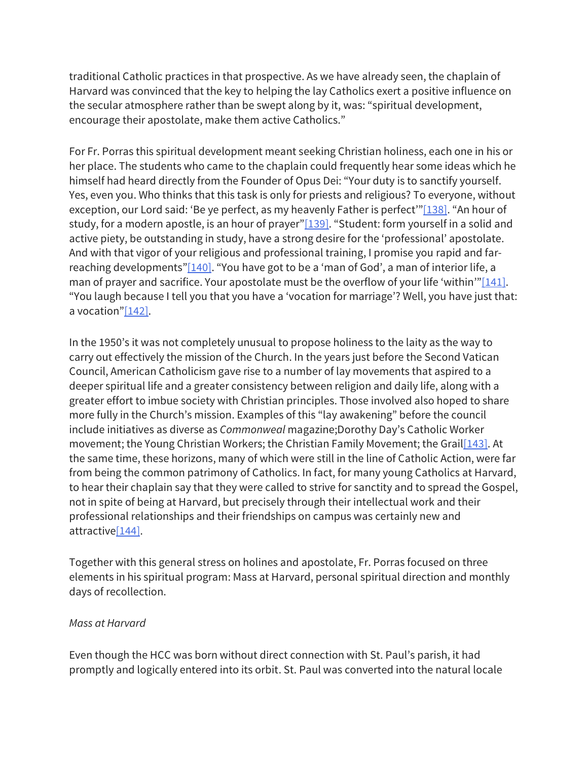traditional Catholic practices in that prospective. As we have already seen, the chaplain of Harvard was convinced that the key to helping the lay Catholics exert a positive influence on the secular atmosphere rather than be swept along by it, was: "spiritual development, encourage their apostolate, make them active Catholics."

For Fr. Porras this spiritual development meant seeking Christian holiness, each one in his or her place. The students who came to the chaplain could frequently hear some ideas which he himself had heard directly from the Founder of Opus Dei: "Your duty is to sanctify yourself. Yes, even you. Who thinks that this task is only for priests and religious? To everyone, without exception, our Lord said: 'Be ye perfect, as my heavenly Father is perfect'"[138]. "An hour of study, for a modern apostle, is an hour of prayer" $[139]$ . "Student: form yourself in a solid and active piety, be outstanding in study, have a strong desire for the 'professional' apostolate. And with that vigor of your religious and professional training, I promise you rapid and farreaching developments" $[140]$ . "You have got to be a 'man of God', a man of interior life, a man of prayer and sacrifice. Your apostolate must be the overflow of your life 'within'" $[141]$ . "You laugh because I tell you that you have a 'vocation for marriage'? Well, you have just that: a vocation"[142].

In the 1950's it was not completely unusual to propose holiness to the laity as the way to carry out effectively the mission of the Church. In the years just before the Second Vatican Council, American Catholicism gave rise to a number of lay movements that aspired to a deeper spiritual life and a greater consistency between religion and daily life, along with a greater effort to imbue society with Christian principles. Those involved also hoped to share more fully in the Church's mission. Examples of this "lay awakening" before the council include initiatives as diverse as *Commonweal* magazine;Dorothy Day's Catholic Worker movement; the Young Christian Workers; the Christian Family Movement; the Grail[143]. At the same time, these horizons, many of which were still in the line of Catholic Action, were far from being the common patrimony of Catholics. In fact, for many young Catholics at Harvard, to hear their chaplain say that they were called to strive for sanctity and to spread the Gospel, not in spite of being at Harvard, but precisely through their intellectual work and their professional relationships and their friendships on campus was certainly new and attractive[144].

Together with this general stress on holines and apostolate, Fr. Porras focused on three elements in his spiritual program: Mass at Harvard, personal spiritual direction and monthly days of recollection.

#### *Mass at Harvard*

Even though the HCC was born without direct connection with St. Paul's parish, it had promptly and logically entered into its orbit. St. Paul was converted into the natural locale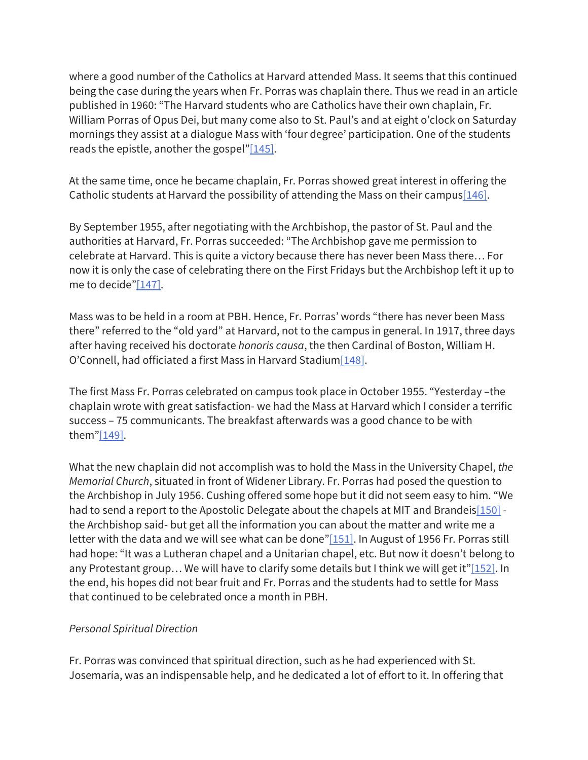where a good number of the Catholics at Harvard attended Mass. It seems that this continued being the case during the years when Fr. Porras was chaplain there. Thus we read in an article published in 1960: "The Harvard students who are Catholics have their own chaplain, Fr. William Porras of Opus Dei, but many come also to St. Paul's and at eight o'clock on Saturday mornings they assist at a dialogue Mass with 'four degree' participation. One of the students reads the epistle, another the gospel"[145].

At the same time, once he became chaplain, Fr. Porras showed great interest in offering the Catholic students at Harvard the possibility of attending the Mass on their campus  $[146]$ .

By September 1955, after negotiating with the Archbishop, the pastor of St. Paul and the authorities at Harvard, Fr. Porras succeeded: "The Archbishop gave me permission to celebrate at Harvard. This is quite a victory because there has never been Mass there… For now it is only the case of celebrating there on the First Fridays but the Archbishop left it up to me to decide"[147].

Mass was to be held in a room at PBH. Hence, Fr. Porras' words "there has never been Mass there" referred to the "old yard" at Harvard, not to the campus in general. In 1917, three days after having received his doctorate *honoris causa*, the then Cardinal of Boston, William H. O'Connell, had officiated a first Mass in Harvard Stadium[148].

The first Mass Fr. Porras celebrated on campus took place in October 1955. "Yesterday –the chaplain wrote with great satisfaction- we had the Mass at Harvard which I consider a terrific success – 75 communicants. The breakfast afterwards was a good chance to be with them"[149].

What the new chaplain did not accomplish was to hold the Mass in the University Chapel, *the Memorial Church*, situated in front of Widener Library. Fr. Porras had posed the question to the Archbishop in July 1956. Cushing offered some hope but it did not seem easy to him. "We had to send a report to the Apostolic Delegate about the chapels at MIT and Brandeis $[150]$  the Archbishop said- but get all the information you can about the matter and write me a letter with the data and we will see what can be done" $[151]$ . In August of 1956 Fr. Porras still had hope: "It was a Lutheran chapel and a Unitarian chapel, etc. But now it doesn't belong to any Protestant group... We will have to clarify some details but I think we will get it" $[152]$ . In the end, his hopes did not bear fruit and Fr. Porras and the students had to settle for Mass that continued to be celebrated once a month in PBH.

#### *Personal Spiritual Direction*

Fr. Porras was convinced that spiritual direction, such as he had experienced with St. Josemaría, was an indispensable help, and he dedicated a lot of effort to it. In offering that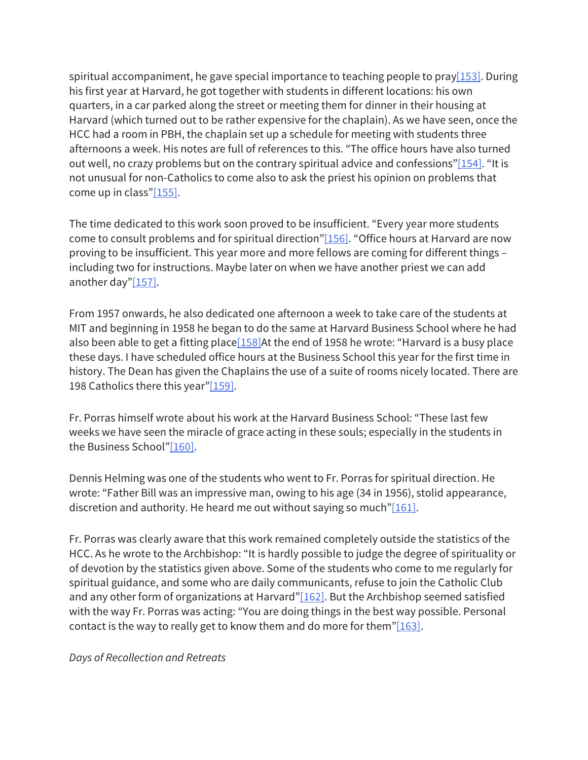spiritual accompaniment, he gave special importance to teaching people to pray  $[153]$ . During his first year at Harvard, he got together with students in different locations: his own quarters, in a car parked along the street or meeting them for dinner in their housing at Harvard (which turned out to be rather expensive for the chaplain). As we have seen, once the HCC had a room in PBH, the chaplain set up a schedule for meeting with students three afternoons a week. His notes are full of references to this. "The office hours have also turned out well, no crazy problems but on the contrary spiritual advice and confessions" $[154]$ . "It is not unusual for non-Catholics to come also to ask the priest his opinion on problems that come up in class"[155].

The time dedicated to this work soon proved to be insufficient. "Every year more students come to consult problems and for spiritual direction"[156]. "Office hours at Harvard are now proving to be insufficient. This year more and more fellows are coming for different things – including two for instructions. Maybe later on when we have another priest we can add another day"[157].

From 1957 onwards, he also dedicated one afternoon a week to take care of the students at MIT and beginning in 1958 he began to do the same at Harvard Business School where he had also been able to get a fitting place  $[158]$ At the end of 1958 he wrote: "Harvard is a busy place these days. I have scheduled office hours at the Business School this year for the first time in history. The Dean has given the Chaplains the use of a suite of rooms nicely located. There are 198 Catholics there this year"[159].

Fr. Porras himself wrote about his work at the Harvard Business School: "These last few weeks we have seen the miracle of grace acting in these souls; especially in the students in the Business School"[160].

Dennis Helming was one of the students who went to Fr. Porras for spiritual direction. He wrote: "Father Bill was an impressive man, owing to his age (34 in 1956), stolid appearance, discretion and authority. He heard me out without saying so much"[161].

Fr. Porras was clearly aware that this work remained completely outside the statistics of the HCC. As he wrote to the Archbishop: "It is hardly possible to judge the degree of spirituality or of devotion by the statistics given above. Some of the students who come to me regularly for spiritual guidance, and some who are daily communicants, refuse to join the Catholic Club and any other form of organizations at Harvard" $[162]$ . But the Archbishop seemed satisfied with the way Fr. Porras was acting: "You are doing things in the best way possible. Personal contact is the way to really get to know them and do more for them" $[163]$ .

*Days of Recollection and Retreats*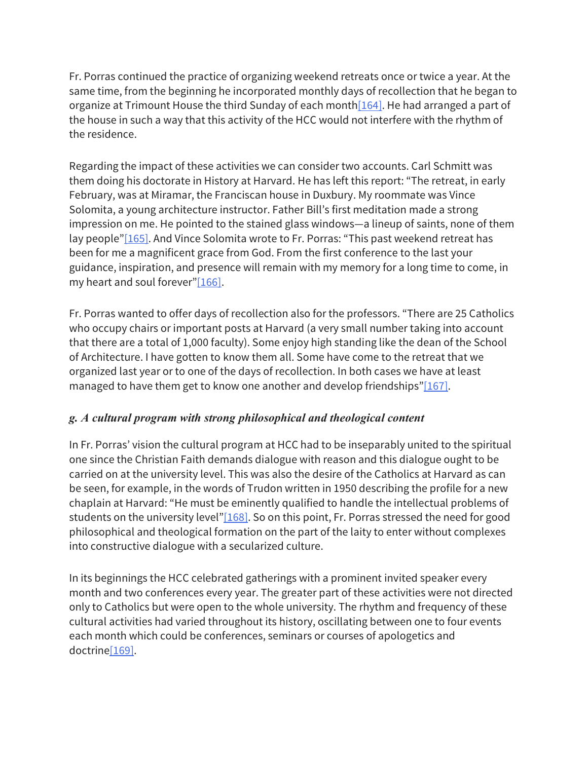Fr. Porras continued the practice of organizing weekend retreats once or twice a year. At the same time, from the beginning he incorporated monthly days of recollection that he began to organize at Trimount House the third Sunday of each month $[164]$ . He had arranged a part of the house in such a way that this activity of the HCC would not interfere with the rhythm of the residence.

Regarding the impact of these activities we can consider two accounts. Carl Schmitt was them doing his doctorate in History at Harvard. He has left this report: "The retreat, in early February, was at Miramar, the Franciscan house in Duxbury. My roommate was Vince Solomita, a young architecture instructor. Father Bill's first meditation made a strong impression on me. He pointed to the stained glass windows—a lineup of saints, none of them lay people"[165]. And Vince Solomita wrote to Fr. Porras: "This past weekend retreat has been for me a magnificent grace from God. From the first conference to the last your guidance, inspiration, and presence will remain with my memory for a long time to come, in my heart and soul forever"[166].

Fr. Porras wanted to offer days of recollection also for the professors. "There are 25 Catholics who occupy chairs or important posts at Harvard (a very small number taking into account that there are a total of 1,000 faculty). Some enjoy high standing like the dean of the School of Architecture. I have gotten to know them all. Some have come to the retreat that we organized last year or to one of the days of recollection. In both cases we have at least managed to have them get to know one another and develop friendships"[167].

# *g. A cultural program with strong philosophical and theological content*

In Fr. Porras' vision the cultural program at HCC had to be inseparably united to the spiritual one since the Christian Faith demands dialogue with reason and this dialogue ought to be carried on at the university level. This was also the desire of the Catholics at Harvard as can be seen, for example, in the words of Trudon written in 1950 describing the profile for a new chaplain at Harvard: "He must be eminently qualified to handle the intellectual problems of students on the university level" $[168]$ . So on this point, Fr. Porras stressed the need for good philosophical and theological formation on the part of the laity to enter without complexes into constructive dialogue with a secularized culture.

In its beginnings the HCC celebrated gatherings with a prominent invited speaker every month and two conferences every year. The greater part of these activities were not directed only to Catholics but were open to the whole university. The rhythm and frequency of these cultural activities had varied throughout its history, oscillating between one to four events each month which could be conferences, seminars or courses of apologetics and doctrine[169].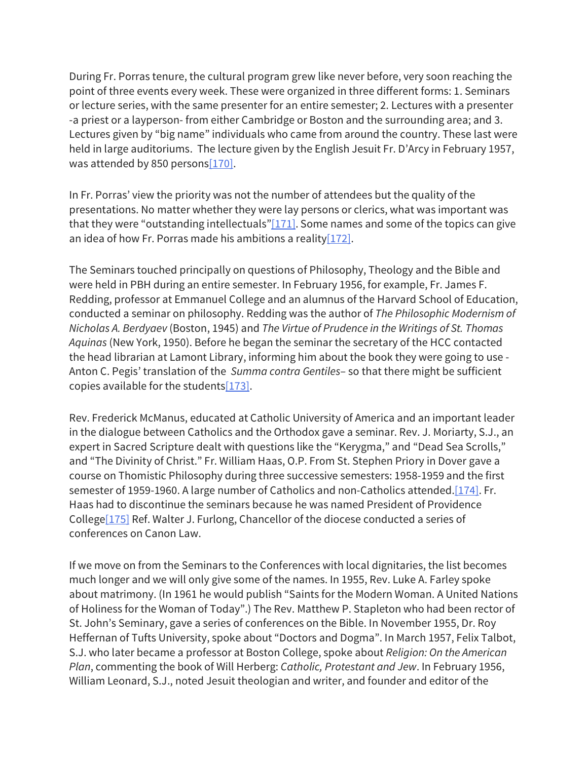During Fr. Porras tenure, the cultural program grew like never before, very soon reaching the point of three events every week. These were organized in three different forms: 1. Seminars or lecture series, with the same presenter for an entire semester; 2. Lectures with a presenter -a priest or a layperson- from either Cambridge or Boston and the surrounding area; and 3. Lectures given by "big name" individuals who came from around the country. These last were held in large auditoriums. The lecture given by the English Jesuit Fr. D'Arcy in February 1957, was attended by 850 persons[170].

In Fr. Porras' view the priority was not the number of attendees but the quality of the presentations. No matter whether they were lay persons or clerics, what was important was that they were "outstanding intellectuals" $[171]$ . Some names and some of the topics can give an idea of how Fr. Porras made his ambitions a reality $[172]$ .

The Seminars touched principally on questions of Philosophy, Theology and the Bible and were held in PBH during an entire semester. In February 1956, for example, Fr. James F. Redding, professor at Emmanuel College and an alumnus of the Harvard School of Education, conducted a seminar on philosophy. Redding was the author of *The Philosophic Modernism of Nicholas A. Berdyaev* (Boston, 1945) and *The Virtue of Prudence in the Writings of St. Thomas Aquinas* (New York, 1950). Before he began the seminar the secretary of the HCC contacted the head librarian at Lamont Library, informing him about the book they were going to use - Anton C. Pegis' translation of the *Summa contra Gentiles*– so that there might be sufficient copies available for the students[173].

Rev. Frederick McManus, educated at Catholic University of America and an important leader in the dialogue between Catholics and the Orthodox gave a seminar. Rev. J. Moriarty, S.J., an expert in Sacred Scripture dealt with questions like the "Kerygma," and "Dead Sea Scrolls," and "The Divinity of Christ." Fr. William Haas, O.P. From St. Stephen Priory in Dover gave a course on Thomistic Philosophy during three successive semesters: 1958-1959 and the first semester of 1959-1960. A large number of Catholics and non-Catholics attended.<sup>[174]</sup>. Fr. Haas had to discontinue the seminars because he was named President of Providence College[175] Ref. Walter J. Furlong, Chancellor of the diocese conducted a series of conferences on Canon Law.

If we move on from the Seminars to the Conferences with local dignitaries, the list becomes much longer and we will only give some of the names. In 1955, Rev. Luke A. Farley spoke about matrimony. (In 1961 he would publish "Saints for the Modern Woman. A United Nations of Holiness for the Woman of Today".) The Rev. Matthew P. Stapleton who had been rector of St. John's Seminary, gave a series of conferences on the Bible. In November 1955, Dr. Roy Heffernan of Tufts University, spoke about "Doctors and Dogma". In March 1957, Felix Talbot, S.J. who later became a professor at Boston College, spoke about *Religion: On the American Plan*, commenting the book of Will Herberg: *Catholic, Protestant and Jew*. In February 1956, William Leonard, S.J., noted Jesuit theologian and writer, and founder and editor of the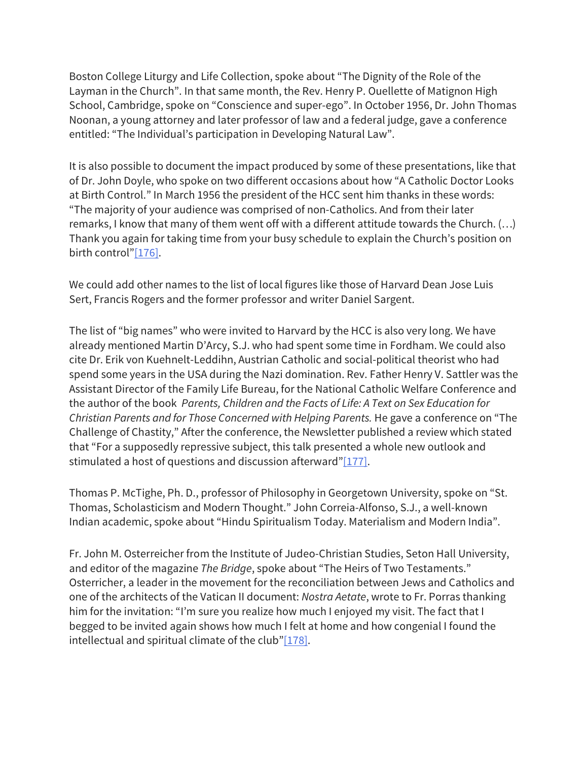Boston College Liturgy and Life Collection, spoke about "The Dignity of the Role of the Layman in the Church". In that same month, the Rev. Henry P. Ouellette of Matignon High School, Cambridge, spoke on "Conscience and super-ego". In October 1956, Dr. John Thomas Noonan, a young attorney and later professor of law and a federal judge, gave a conference entitled: "The Individual's participation in Developing Natural Law".

It is also possible to document the impact produced by some of these presentations, like that of Dr. John Doyle, who spoke on two different occasions about how "A Catholic Doctor Looks at Birth Control." In March 1956 the president of the HCC sent him thanks in these words: "The majority of your audience was comprised of non-Catholics. And from their later remarks, I know that many of them went off with a different attitude towards the Church. (…) Thank you again for taking time from your busy schedule to explain the Church's position on birth control"[176].

We could add other names to the list of local figures like those of Harvard Dean Jose Luis Sert, Francis Rogers and the former professor and writer Daniel Sargent.

The list of "big names" who were invited to Harvard by the HCC is also very long. We have already mentioned Martin D'Arcy, S.J. who had spent some time in Fordham. We could also cite Dr. Erik von Kuehnelt-Leddihn, Austrian Catholic and social-political theorist who had spend some years in the USA during the Nazi domination. Rev. Father Henry V. Sattler was the Assistant Director of the Family Life Bureau, for the National Catholic Welfare Conference and the author of the book *Parents, Children and the Facts of Life: A Text on Sex Education for Christian Parents and for Those Concerned with Helping Parents.* He gave a conference on "The Challenge of Chastity," After the conference, the Newsletter published a review which stated that "For a supposedly repressive subject, this talk presented a whole new outlook and stimulated a host of questions and discussion afterward" $[177]$ .

Thomas P. McTighe, Ph. D., professor of Philosophy in Georgetown University, spoke on "St. Thomas, Scholasticism and Modern Thought." John Correia-Alfonso, S.J., a well-known Indian academic, spoke about "Hindu Spiritualism Today. Materialism and Modern India".

Fr. John M. Osterreicher from the Institute of Judeo-Christian Studies, Seton Hall University, and editor of the magazine *The Bridge*, spoke about "The Heirs of Two Testaments." Osterricher, a leader in the movement for the reconciliation between Jews and Catholics and one of the architects of the Vatican II document: *Nostra Aetate*, wrote to Fr. Porras thanking him for the invitation: "I'm sure you realize how much I enjoyed my visit. The fact that I begged to be invited again shows how much I felt at home and how congenial I found the intellectual and spiritual climate of the club"[178].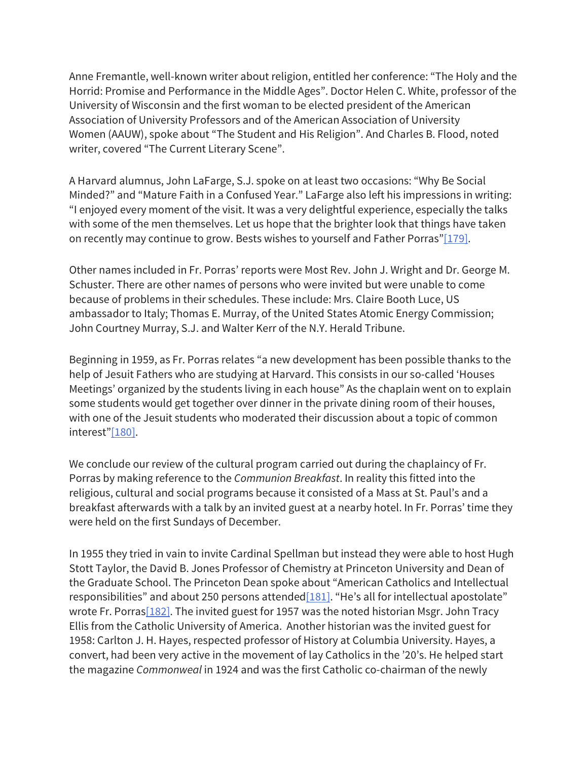Anne Fremantle, well-known writer about religion, entitled her conference: "The Holy and the Horrid: Promise and Performance in the Middle Ages". Doctor Helen C. White, professor of the University of Wisconsin and the first woman to be elected president of the American Association of University Professors and of the American Association of University Women (AAUW), spoke about "The Student and His Religion". And Charles B. Flood, noted writer, covered "The Current Literary Scene".

A Harvard alumnus, John LaFarge, S.J. spoke on at least two occasions: "Why Be Social Minded?" and "Mature Faith in a Confused Year." LaFarge also left his impressions in writing: "I enjoyed every moment of the visit. It was a very delightful experience, especially the talks with some of the men themselves. Let us hope that the brighter look that things have taken on recently may continue to grow. Bests wishes to yourself and Father Porras"[179].

Other names included in Fr. Porras' reports were Most Rev. John J. Wright and Dr. George M. Schuster. There are other names of persons who were invited but were unable to come because of problems in their schedules. These include: Mrs. Claire Booth Luce, US ambassador to Italy; Thomas E. Murray, of the United States Atomic Energy Commission; John Courtney Murray, S.J. and Walter Kerr of the N.Y. Herald Tribune.

Beginning in 1959, as Fr. Porras relates "a new development has been possible thanks to the help of Jesuit Fathers who are studying at Harvard. This consists in our so-called 'Houses Meetings' organized by the students living in each house" As the chaplain went on to explain some students would get together over dinner in the private dining room of their houses, with one of the Jesuit students who moderated their discussion about a topic of common interest"[180].

We conclude our review of the cultural program carried out during the chaplaincy of Fr. Porras by making reference to the *Communion Breakfast*. In reality this fitted into the religious, cultural and social programs because it consisted of a Mass at St. Paul's and a breakfast afterwards with a talk by an invited guest at a nearby hotel. In Fr. Porras' time they were held on the first Sundays of December.

In 1955 they tried in vain to invite Cardinal Spellman but instead they were able to host Hugh Stott Taylor, the David B. Jones Professor of Chemistry at Princeton University and Dean of the Graduate School. The Princeton Dean spoke about "American Catholics and Intellectual responsibilities" and about 250 persons attended [181]. "He's all for intellectual apostolate" wrote Fr. Porras $[182]$ . The invited guest for 1957 was the noted historian Msgr. John Tracy Ellis from the Catholic University of America. Another historian was the invited guest for 1958: Carlton J. H. Hayes, respected professor of History at Columbia University. Hayes, a convert, had been very active in the movement of lay Catholics in the '20's. He helped start the magazine *Commonweal* in 1924 and was the first Catholic co-chairman of the newly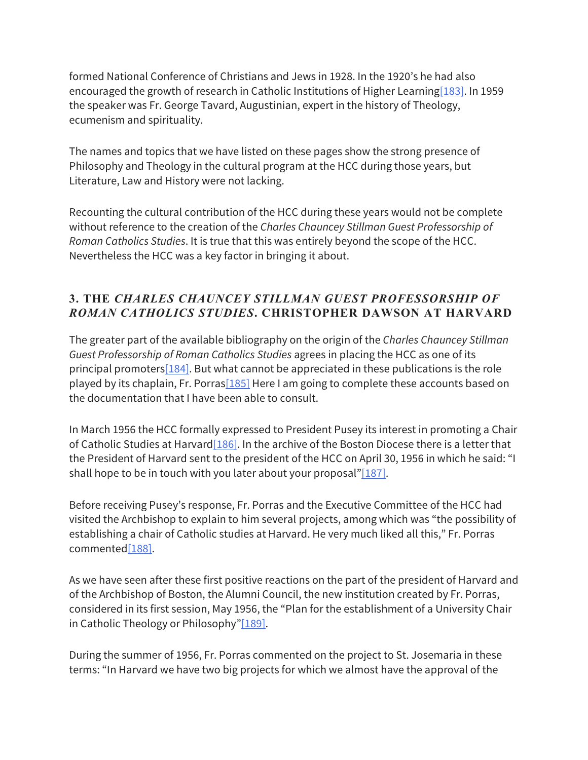formed National Conference of Christians and Jews in 1928. In the 1920's he had also encouraged the growth of research in Catholic Institutions of Higher Learning[183]. In 1959 the speaker was Fr. George Tavard, Augustinian, expert in the history of Theology, ecumenism and spirituality.

The names and topics that we have listed on these pages show the strong presence of Philosophy and Theology in the cultural program at the HCC during those years, but Literature, Law and History were not lacking.

Recounting the cultural contribution of the HCC during these years would not be complete without reference to the creation of the *Charles Chauncey Stillman Guest Professorship of Roman Catholics Studies*. It is true that this was entirely beyond the scope of the HCC. Nevertheless the HCC was a key factor in bringing it about.

## **3. THE** *CHARLES CHAUNCEY STILLMAN GUEST PROFESSORSHIP OF ROMAN CATHOLICS STUDIES***. CHRISTOPHER DAWSON AT HARVARD**

The greater part of the available bibliography on the origin of the *Charles Chauncey Stillman Guest Professorship of Roman Catholics Studies* agrees in placing the HCC as one of its principal promoters $[184]$ . But what cannot be appreciated in these publications is the role played by its chaplain, Fr. Porras $[185]$  Here I am going to complete these accounts based on the documentation that I have been able to consult.

In March 1956 the HCC formally expressed to President Pusey its interest in promoting a Chair of Catholic Studies at Harvard [186]. In the archive of the Boston Diocese there is a letter that the President of Harvard sent to the president of the HCC on April 30, 1956 in which he said: "I shall hope to be in touch with you later about your proposal" $[187]$ .

Before receiving Pusey's response, Fr. Porras and the Executive Committee of the HCC had visited the Archbishop to explain to him several projects, among which was "the possibility of establishing a chair of Catholic studies at Harvard. He very much liked all this," Fr. Porras commented[188].

As we have seen after these first positive reactions on the part of the president of Harvard and of the Archbishop of Boston, the Alumni Council, the new institution created by Fr. Porras, considered in its first session, May 1956, the "Plan for the establishment of a University Chair in Catholic Theology or Philosophy"[189].

During the summer of 1956, Fr. Porras commented on the project to St. Josemaria in these terms: "In Harvard we have two big projects for which we almost have the approval of the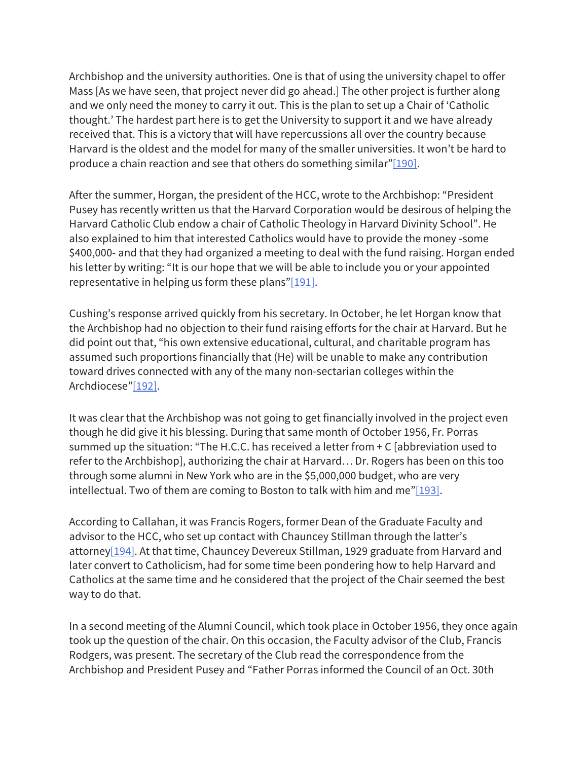Archbishop and the university authorities. One is that of using the university chapel to offer Mass [As we have seen, that project never did go ahead.] The other project is further along and we only need the money to carry it out. This is the plan to set up a Chair of 'Catholic thought.' The hardest part here is to get the University to support it and we have already received that. This is a victory that will have repercussions all over the country because Harvard is the oldest and the model for many of the smaller universities. It won't be hard to produce a chain reaction and see that others do something similar" $[190]$ .

After the summer, Horgan, the president of the HCC, wrote to the Archbishop: "President Pusey has recently written us that the Harvard Corporation would be desirous of helping the Harvard Catholic Club endow a chair of Catholic Theology in Harvard Divinity School". He also explained to him that interested Catholics would have to provide the money -some \$400,000- and that they had organized a meeting to deal with the fund raising. Horgan ended his letter by writing: "It is our hope that we will be able to include you or your appointed representative in helping us form these plans"[ $191$ ].

Cushing's response arrived quickly from his secretary. In October, he let Horgan know that the Archbishop had no objection to their fund raising efforts for the chair at Harvard. But he did point out that, "his own extensive educational, cultural, and charitable program has assumed such proportions financially that (He) will be unable to make any contribution toward drives connected with any of the many non-sectarian colleges within the Archdiocese"[192].

It was clear that the Archbishop was not going to get financially involved in the project even though he did give it his blessing. During that same month of October 1956, Fr. Porras summed up the situation: "The H.C.C. has received a letter from + C [abbreviation used to refer to the Archbishop], authorizing the chair at Harvard… Dr. Rogers has been on this too through some alumni in New York who are in the \$5,000,000 budget, who are very intellectual. Two of them are coming to Boston to talk with him and me" $[193]$ .

According to Callahan, it was Francis Rogers, former Dean of the Graduate Faculty and advisor to the HCC, who set up contact with Chauncey Stillman through the latter's attorney[194]. At that time, Chauncey Devereux Stillman, 1929 graduate from Harvard and later convert to Catholicism, had for some time been pondering how to help Harvard and Catholics at the same time and he considered that the project of the Chair seemed the best way to do that.

In a second meeting of the Alumni Council, which took place in October 1956, they once again took up the question of the chair. On this occasion, the Faculty advisor of the Club, Francis Rodgers, was present. The secretary of the Club read the correspondence from the Archbishop and President Pusey and "Father Porras informed the Council of an Oct. 30th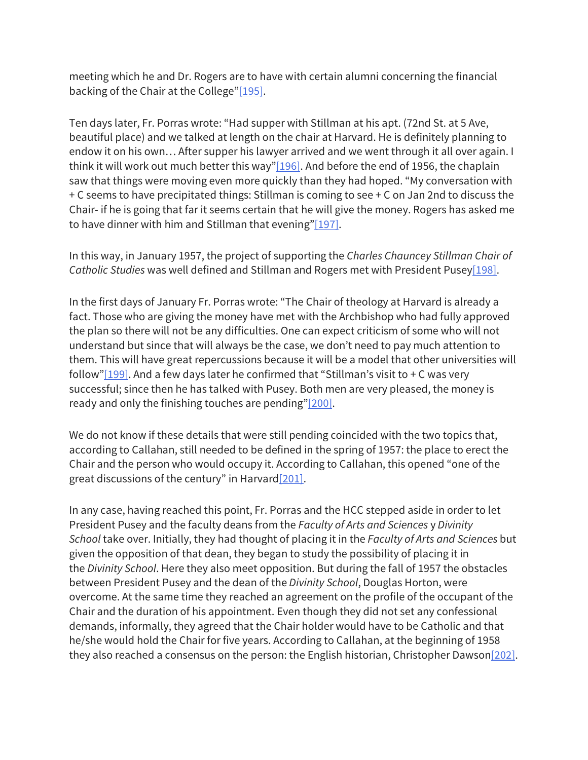meeting which he and Dr. Rogers are to have with certain alumni concerning the financial backing of the Chair at the College"[195].

Ten days later, Fr. Porras wrote: "Had supper with Stillman at his apt. (72nd St. at 5 Ave, beautiful place) and we talked at length on the chair at Harvard. He is definitely planning to endow it on his own… After supper his lawyer arrived and we went through it all over again. I think it will work out much better this way" $[196]$ . And before the end of 1956, the chaplain saw that things were moving even more quickly than they had hoped. "My conversation with + C seems to have precipitated things: Stillman is coming to see + C on Jan 2nd to discuss the Chair- if he is going that far it seems certain that he will give the money. Rogers has asked me to have dinner with him and Stillman that evening" $[197]$ .

In this way, in January 1957, the project of supporting the *Charles Chauncey Stillman Chair of Catholic Studies* was well defined and Stillman and Rogers met with President Pusey[198].

In the first days of January Fr. Porras wrote: "The Chair of theology at Harvard is already a fact. Those who are giving the money have met with the Archbishop who had fully approved the plan so there will not be any difficulties. One can expect criticism of some who will not understand but since that will always be the case, we don't need to pay much attention to them. This will have great repercussions because it will be a model that other universities will follow"[199]. And a few days later he confirmed that "Stillman's visit to  $+ C$  was very successful; since then he has talked with Pusey. Both men are very pleased, the money is ready and only the finishing touches are pending"[200].

We do not know if these details that were still pending coincided with the two topics that, according to Callahan, still needed to be defined in the spring of 1957: the place to erect the Chair and the person who would occupy it. According to Callahan, this opened "one of the great discussions of the century" in Harvard $[201]$ .

In any case, having reached this point, Fr. Porras and the HCC stepped aside in order to let President Pusey and the faculty deans from the *Faculty of Arts and Sciences* y *Divinity School* take over. Initially, they had thought of placing it in the *Faculty of Arts and Sciences* but given the opposition of that dean, they began to study the possibility of placing it in the *Divinity School*. Here they also meet opposition. But during the fall of 1957 the obstacles between President Pusey and the dean of the *Divinity School*, Douglas Horton, were overcome. At the same time they reached an agreement on the profile of the occupant of the Chair and the duration of his appointment. Even though they did not set any confessional demands, informally, they agreed that the Chair holder would have to be Catholic and that he/she would hold the Chair for five years. According to Callahan, at the beginning of 1958 they also reached a consensus on the person: the English historian, Christopher Dawson[202].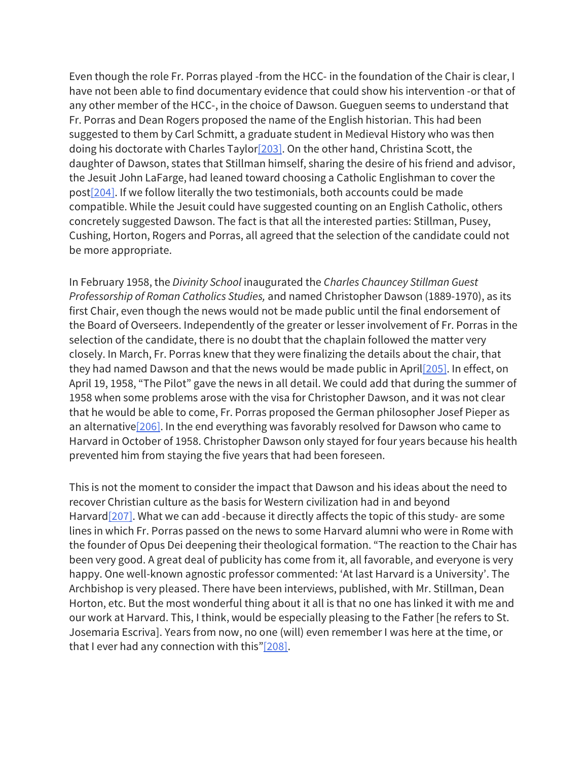Even though the role Fr. Porras played -from the HCC- in the foundation of the Chair is clear, I have not been able to find documentary evidence that could show his intervention -or that of any other member of the HCC-, in the choice of Dawson. Gueguen seems to understand that Fr. Porras and Dean Rogers proposed the name of the English historian. This had been suggested to them by Carl Schmitt, a graduate student in Medieval History who was then doing his doctorate with Charles Taylor[203]. On the other hand, Christina Scott, the daughter of Dawson, states that Stillman himself, sharing the desire of his friend and advisor, the Jesuit John LaFarge, had leaned toward choosing a Catholic Englishman to cover the post[204]. If we follow literally the two testimonials, both accounts could be made compatible. While the Jesuit could have suggested counting on an English Catholic, others concretely suggested Dawson. The fact is that all the interested parties: Stillman, Pusey, Cushing, Horton, Rogers and Porras, all agreed that the selection of the candidate could not be more appropriate.

In February 1958, the *Divinity School* inaugurated the *Charles Chauncey Stillman Guest Professorship of Roman Catholics Studies,* and named Christopher Dawson (1889-1970), as its first Chair, even though the news would not be made public until the final endorsement of the Board of Overseers. Independently of the greater or lesser involvement of Fr. Porras in the selection of the candidate, there is no doubt that the chaplain followed the matter very closely. In March, Fr. Porras knew that they were finalizing the details about the chair, that they had named Dawson and that the news would be made public in April[205]. In effect, on April 19, 1958, "The Pilot" gave the news in all detail. We could add that during the summer of 1958 when some problems arose with the visa for Christopher Dawson, and it was not clear that he would be able to come, Fr. Porras proposed the German philosopher Josef Pieper as an alternative $[206]$ . In the end everything was favorably resolved for Dawson who came to Harvard in October of 1958. Christopher Dawson only stayed for four years because his health prevented him from staying the five years that had been foreseen.

This is not the moment to consider the impact that Dawson and his ideas about the need to recover Christian culture as the basis for Western civilization had in and beyond Harvard $[207]$ . What we can add -because it directly affects the topic of this study- are some lines in which Fr. Porras passed on the news to some Harvard alumni who were in Rome with the founder of Opus Dei deepening their theological formation. "The reaction to the Chair has been very good. A great deal of publicity has come from it, all favorable, and everyone is very happy. One well-known agnostic professor commented: 'At last Harvard is a University'. The Archbishop is very pleased. There have been interviews, published, with Mr. Stillman, Dean Horton, etc. But the most wonderful thing about it all is that no one has linked it with me and our work at Harvard. This, I think, would be especially pleasing to the Father [he refers to St. Josemaria Escriva]. Years from now, no one (will) even remember I was here at the time, or that I ever had any connection with this"[208].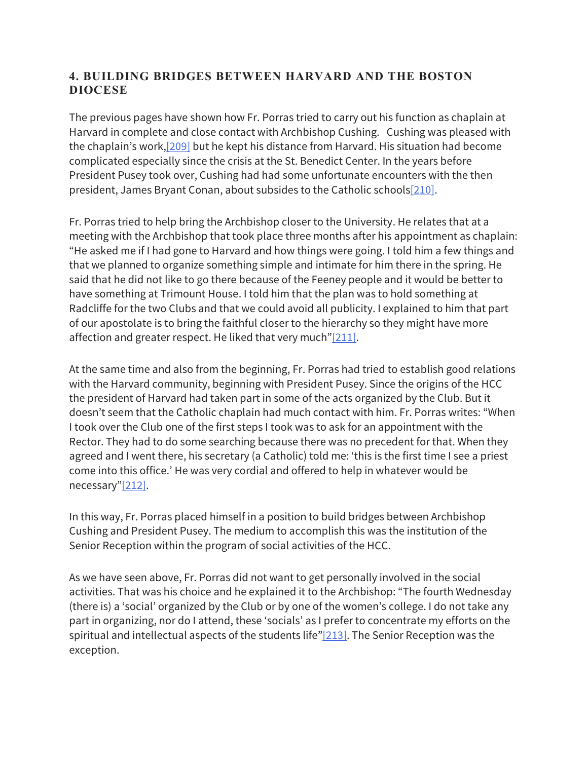## **4. BUILDING BRIDGES BETWEEN HARVARD AND THE BOSTON DIOCESE**

The previous pages have shown how Fr. Porras tried to carry out his function as chaplain at Harvard in complete and close contact with Archbishop Cushing. Cushing was pleased with the chaplain's work,[209] but he kept his distance from Harvard. His situation had become complicated especially since the crisis at the St. Benedict Center. In the years before President Pusey took over, Cushing had had some unfortunate encounters with the then president, James Bryant Conan, about subsides to the Catholic schools<sup>[210]</sup>.

Fr. Porras tried to help bring the Archbishop closer to the University. He relates that at a meeting with the Archbishop that took place three months after his appointment as chaplain: "He asked me if I had gone to Harvard and how things were going. I told him a few things and that we planned to organize something simple and intimate for him there in the spring. He said that he did not like to go there because of the Feeney people and it would be better to have something at Trimount House. I told him that the plan was to hold something at Radcliffe for the two Clubs and that we could avoid all publicity. I explained to him that part of our apostolate is to bring the faithful closer to the hierarchy so they might have more affection and greater respect. He liked that very much" $[211]$ .

At the same time and also from the beginning, Fr. Porras had tried to establish good relations with the Harvard community, beginning with President Pusey. Since the origins of the HCC the president of Harvard had taken part in some of the acts organized by the Club. But it doesn't seem that the Catholic chaplain had much contact with him. Fr. Porras writes: "When I took over the Club one of the first steps I took was to ask for an appointment with the Rector. They had to do some searching because there was no precedent for that. When they agreed and I went there, his secretary (a Catholic) told me: 'this is the first time I see a priest come into this office.' He was very cordial and offered to help in whatever would be necessary"[212].

In this way, Fr. Porras placed himself in a position to build bridges between Archbishop Cushing and President Pusey. The medium to accomplish this was the institution of the Senior Reception within the program of social activities of the HCC.

As we have seen above, Fr. Porras did not want to get personally involved in the social activities. That was his choice and he explained it to the Archbishop: "The fourth Wednesday (there is) a 'social' organized by the Club or by one of the women's college. I do not take any part in organizing, nor do I attend, these 'socials' as I prefer to concentrate my efforts on the spiritual and intellectual aspects of the students life" $[213]$ . The Senior Reception was the exception.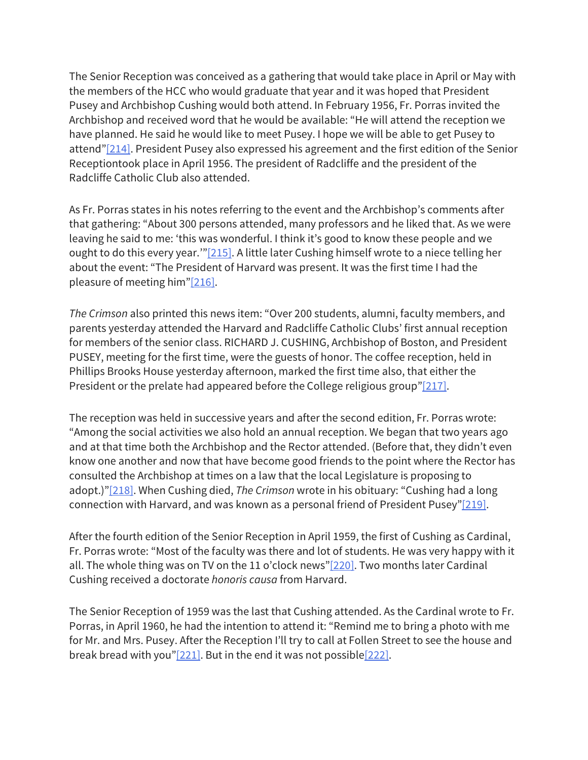The Senior Reception was conceived as a gathering that would take place in April or May with the members of the HCC who would graduate that year and it was hoped that President Pusey and Archbishop Cushing would both attend. In February 1956, Fr. Porras invited the Archbishop and received word that he would be available: "He will attend the reception we have planned. He said he would like to meet Pusey. I hope we will be able to get Pusey to attend"[214]. President Pusey also expressed his agreement and the first edition of the Senior Receptiontook place in April 1956. The president of Radcliffe and the president of the Radcliffe Catholic Club also attended.

As Fr. Porras states in his notes referring to the event and the Archbishop's comments after that gathering: "About 300 persons attended, many professors and he liked that. As we were leaving he said to me: 'this was wonderful. I think it's good to know these people and we ought to do this every year."<sup>[215]</sup>. A little later Cushing himself wrote to a niece telling her about the event: "The President of Harvard was present. It was the first time I had the pleasure of meeting him"[216].

*The Crimson* also printed this news item: "Over 200 students, alumni, faculty members, and parents yesterday attended the Harvard and Radcliffe Catholic Clubs' first annual reception for members of the senior class. RICHARD J. CUSHING, Archbishop of Boston, and President PUSEY, meeting for the first time, were the guests of honor. The coffee reception, held in Phillips Brooks House yesterday afternoon, marked the first time also, that either the President or the prelate had appeared before the College religious group"[217].

The reception was held in successive years and after the second edition, Fr. Porras wrote: "Among the social activities we also hold an annual reception. We began that two years ago and at that time both the Archbishop and the Rector attended. (Before that, they didn't even know one another and now that have become good friends to the point where the Rector has consulted the Archbishop at times on a law that the local Legislature is proposing to adopt.)"[218]. When Cushing died, *The Crimson* wrote in his obituary: "Cushing had a long connection with Harvard, and was known as a personal friend of President Pusey"[219].

After the fourth edition of the Senior Reception in April 1959, the first of Cushing as Cardinal, Fr. Porras wrote: "Most of the faculty was there and lot of students. He was very happy with it all. The whole thing was on TV on the 11 o'clock news"[220]. Two months later Cardinal Cushing received a doctorate *honoris causa* from Harvard.

The Senior Reception of 1959 was the last that Cushing attended. As the Cardinal wrote to Fr. Porras, in April 1960, he had the intention to attend it: "Remind me to bring a photo with me for Mr. and Mrs. Pusey. After the Reception I'll try to call at Follen Street to see the house and break bread with you" $[221]$ . But in the end it was not possible $[222]$ .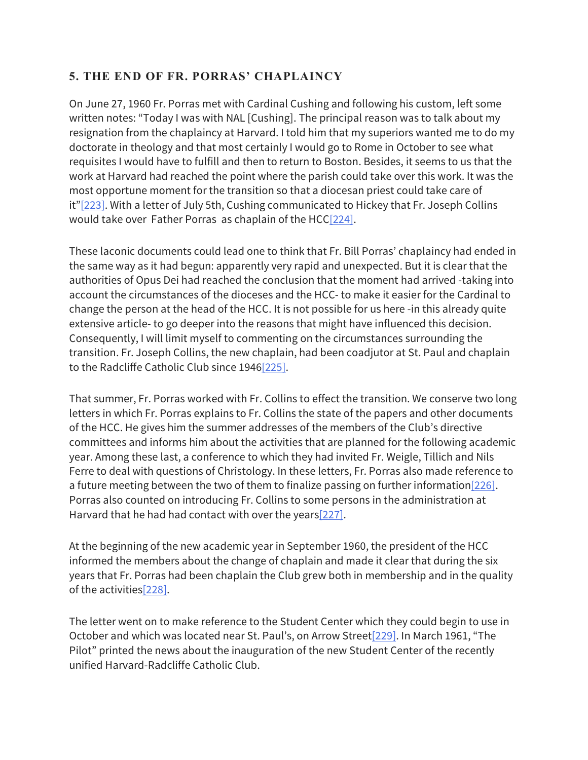# **5. THE END OF FR. PORRAS' CHAPLAINCY**

On June 27, 1960 Fr. Porras met with Cardinal Cushing and following his custom, left some written notes: "Today I was with NAL [Cushing]. The principal reason was to talk about my resignation from the chaplaincy at Harvard. I told him that my superiors wanted me to do my doctorate in theology and that most certainly I would go to Rome in October to see what requisites I would have to fulfill and then to return to Boston. Besides, it seems to us that the work at Harvard had reached the point where the parish could take over this work. It was the most opportune moment for the transition so that a diocesan priest could take care of it"[223]. With a letter of July 5th, Cushing communicated to Hickey that Fr. Joseph Collins would take over Father Porras as chaplain of the HCC[224].

These laconic documents could lead one to think that Fr. Bill Porras' chaplaincy had ended in the same way as it had begun: apparently very rapid and unexpected. But it is clear that the authorities of Opus Dei had reached the conclusion that the moment had arrived -taking into account the circumstances of the dioceses and the HCC- to make it easier for the Cardinal to change the person at the head of the HCC. It is not possible for us here -in this already quite extensive article- to go deeper into the reasons that might have influenced this decision. Consequently, I will limit myself to commenting on the circumstances surrounding the transition. Fr. Joseph Collins, the new chaplain, had been coadjutor at St. Paul and chaplain to the Radcliffe Catholic Club since 1946[225].

That summer, Fr. Porras worked with Fr. Collins to effect the transition. We conserve two long letters in which Fr. Porras explains to Fr. Collins the state of the papers and other documents of the HCC. He gives him the summer addresses of the members of the Club's directive committees and informs him about the activities that are planned for the following academic year. Among these last, a conference to which they had invited Fr. Weigle, Tillich and Nils Ferre to deal with questions of Christology. In these letters, Fr. Porras also made reference to a future meeting between the two of them to finalize passing on further information  $[226]$ . Porras also counted on introducing Fr. Collins to some persons in the administration at Harvard that he had had contact with over the years[227].

At the beginning of the new academic year in September 1960, the president of the HCC informed the members about the change of chaplain and made it clear that during the six years that Fr. Porras had been chaplain the Club grew both in membership and in the quality of the activities[228].

The letter went on to make reference to the Student Center which they could begin to use in October and which was located near St. Paul's, on Arrow Street<sup>[229]</sup>. In March 1961, "The Pilot" printed the news about the inauguration of the new Student Center of the recently unified Harvard-Radcliffe Catholic Club.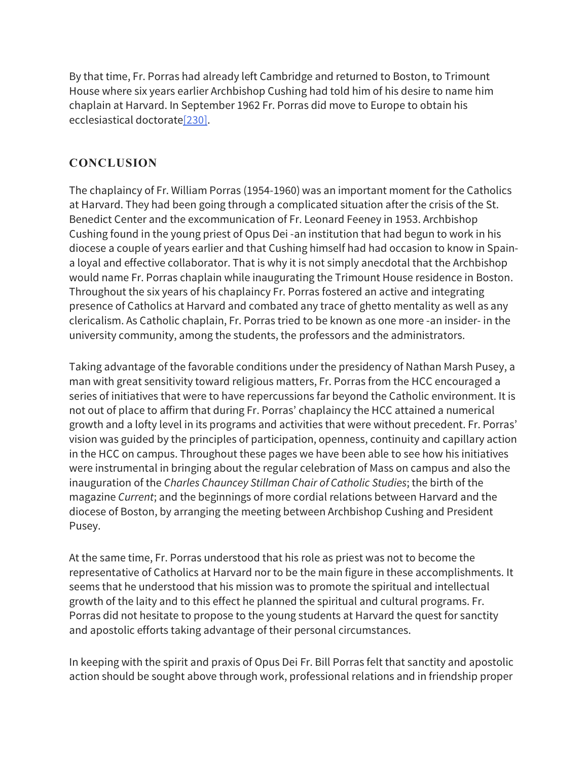By that time, Fr. Porras had already left Cambridge and returned to Boston, to Trimount House where six years earlier Archbishop Cushing had told him of his desire to name him chaplain at Harvard. In September 1962 Fr. Porras did move to Europe to obtain his ecclesiastical doctorate[230].

## **CONCLUSION**

The chaplaincy of Fr. William Porras (1954-1960) was an important moment for the Catholics at Harvard. They had been going through a complicated situation after the crisis of the St. Benedict Center and the excommunication of Fr. Leonard Feeney in 1953. Archbishop Cushing found in the young priest of Opus Dei -an institution that had begun to work in his diocese a couple of years earlier and that Cushing himself had had occasion to know in Spaina loyal and effective collaborator. That is why it is not simply anecdotal that the Archbishop would name Fr. Porras chaplain while inaugurating the Trimount House residence in Boston. Throughout the six years of his chaplaincy Fr. Porras fostered an active and integrating presence of Catholics at Harvard and combated any trace of ghetto mentality as well as any clericalism. As Catholic chaplain, Fr. Porras tried to be known as one more -an insider- in the university community, among the students, the professors and the administrators.

Taking advantage of the favorable conditions under the presidency of Nathan Marsh Pusey, a man with great sensitivity toward religious matters, Fr. Porras from the HCC encouraged a series of initiatives that were to have repercussions far beyond the Catholic environment. It is not out of place to affirm that during Fr. Porras' chaplaincy the HCC attained a numerical growth and a lofty level in its programs and activities that were without precedent. Fr. Porras' vision was guided by the principles of participation, openness, continuity and capillary action in the HCC on campus. Throughout these pages we have been able to see how his initiatives were instrumental in bringing about the regular celebration of Mass on campus and also the inauguration of the *Charles Chauncey Stillman Chair of Catholic Studies*; the birth of the magazine *Current*; and the beginnings of more cordial relations between Harvard and the diocese of Boston, by arranging the meeting between Archbishop Cushing and President Pusey.

At the same time, Fr. Porras understood that his role as priest was not to become the representative of Catholics at Harvard nor to be the main figure in these accomplishments. It seems that he understood that his mission was to promote the spiritual and intellectual growth of the laity and to this effect he planned the spiritual and cultural programs. Fr. Porras did not hesitate to propose to the young students at Harvard the quest for sanctity and apostolic efforts taking advantage of their personal circumstances.

In keeping with the spirit and praxis of Opus Dei Fr. Bill Porras felt that sanctity and apostolic action should be sought above through work, professional relations and in friendship proper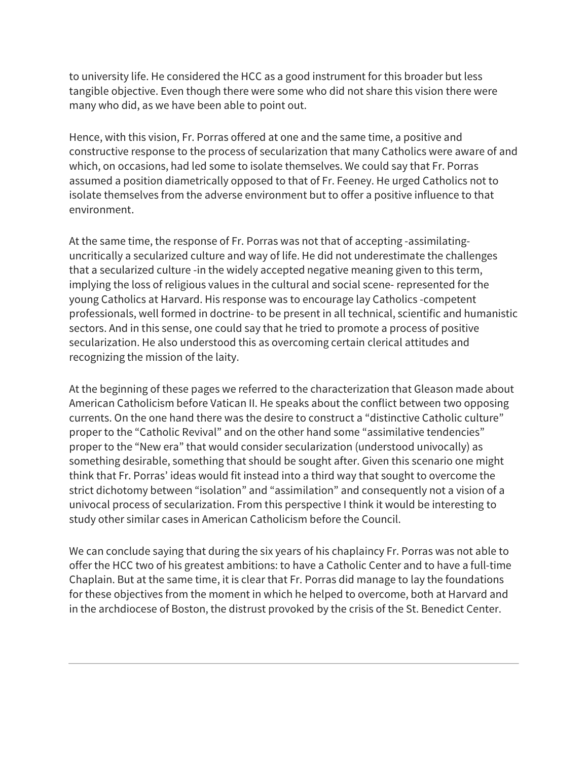to university life. He considered the HCC as a good instrument for this broader but less tangible objective. Even though there were some who did not share this vision there were many who did, as we have been able to point out.

Hence, with this vision, Fr. Porras offered at one and the same time, a positive and constructive response to the process of secularization that many Catholics were aware of and which, on occasions, had led some to isolate themselves. We could say that Fr. Porras assumed a position diametrically opposed to that of Fr. Feeney. He urged Catholics not to isolate themselves from the adverse environment but to offer a positive influence to that environment.

At the same time, the response of Fr. Porras was not that of accepting -assimilatinguncritically a secularized culture and way of life. He did not underestimate the challenges that a secularized culture -in the widely accepted negative meaning given to this term, implying the loss of religious values in the cultural and social scene- represented for the young Catholics at Harvard. His response was to encourage lay Catholics -competent professionals, well formed in doctrine- to be present in all technical, scientific and humanistic sectors. And in this sense, one could say that he tried to promote a process of positive secularization. He also understood this as overcoming certain clerical attitudes and recognizing the mission of the laity.

At the beginning of these pages we referred to the characterization that Gleason made about American Catholicism before Vatican II. He speaks about the conflict between two opposing currents. On the one hand there was the desire to construct a "distinctive Catholic culture" proper to the "Catholic Revival" and on the other hand some "assimilative tendencies" proper to the "New era" that would consider secularization (understood univocally) as something desirable, something that should be sought after. Given this scenario one might think that Fr. Porras' ideas would fit instead into a third way that sought to overcome the strict dichotomy between "isolation" and "assimilation" and consequently not a vision of a univocal process of secularization. From this perspective I think it would be interesting to study other similar cases in American Catholicism before the Council.

We can conclude saying that during the six years of his chaplaincy Fr. Porras was not able to offer the HCC two of his greatest ambitions: to have a Catholic Center and to have a full-time Chaplain. But at the same time, it is clear that Fr. Porras did manage to lay the foundations for these objectives from the moment in which he helped to overcome, both at Harvard and in the archdiocese of Boston, the distrust provoked by the crisis of the St. Benedict Center.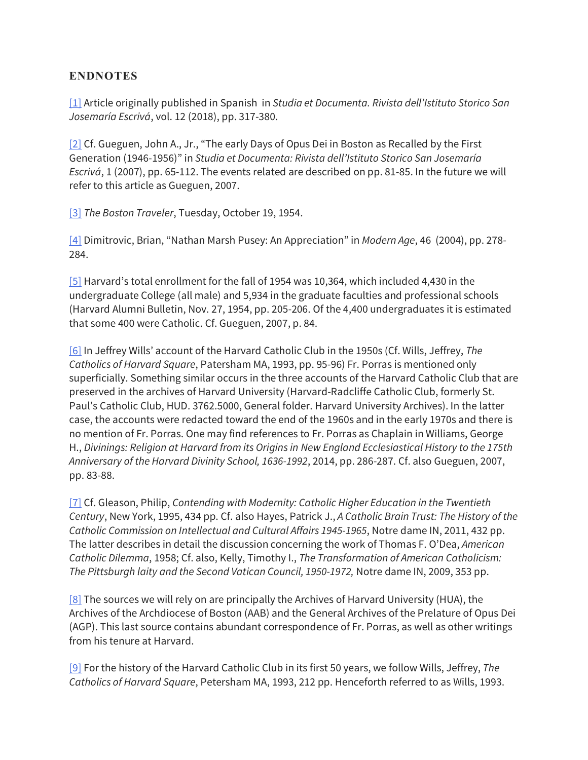#### **ENDNOTES**

[1] Article originally published in Spanish in *Studia et Documenta. Rivista dell'Istituto Storico San Josemaría Escrivá*, vol. 12 (2018), pp. 317-380.

[2] Cf. Gueguen, John A., Jr., "The early Days of Opus Dei in Boston as Recalled by the First Generation (1946-1956)" in *Studia et Documenta: Rivista dell'Istituto Storico San Josemaría Escrivá*, 1 (2007), pp. 65-112. The events related are described on pp. 81-85. In the future we will refer to this article as Gueguen, 2007.

[3] *The Boston Traveler*, Tuesday, October 19, 1954.

[4] Dimitrovic, Brian, "Nathan Marsh Pusey: An Appreciation" in *Modern Age*, 46 (2004), pp. 278- 284.

[5] Harvard's total enrollment for the fall of 1954 was 10,364, which included 4,430 in the undergraduate College (all male) and 5,934 in the graduate faculties and professional schools (Harvard Alumni Bulletin, Nov. 27, 1954, pp. 205-206. Of the 4,400 undergraduates it is estimated that some 400 were Catholic. Cf. Gueguen, 2007, p. 84.

[6] In Jeffrey Wills' account of the Harvard Catholic Club in the 1950s (Cf. Wills, Jeffrey, *The Catholics of Harvard Square*, Patersham MA, 1993, pp. 95-96) Fr. Porras is mentioned only superficially. Something similar occurs in the three accounts of the Harvard Catholic Club that are preserved in the archives of Harvard University (Harvard-Radcliffe Catholic Club, formerly St. Paul's Catholic Club, HUD. 3762.5000, General folder. Harvard University Archives). In the latter case, the accounts were redacted toward the end of the 1960s and in the early 1970s and there is no mention of Fr. Porras. One may find references to Fr. Porras as Chaplain in Williams, George H., *Divinings: Religion at Harvard from its Origins in New England Ecclesiastical History to the 175th Anniversary of the Harvard Divinity School, 1636-1992*, 2014, pp. 286-287. Cf. also Gueguen, 2007, pp. 83-88.

[7] Cf. Gleason, Philip, *Contending with Modernity: Catholic Higher Education in the Twentieth Century*, New York, 1995, 434 pp. Cf. also Hayes, Patrick J., *A Catholic Brain Trust: The History of the Catholic Commission on Intellectual and Cultural Affairs 1945-1965*, Notre dame IN, 2011, 432 pp. The latter describes in detail the discussion concerning the work of Thomas F. O'Dea, *American Catholic Dilemma*, 1958; Cf. also, Kelly, Timothy I., *The Transformation of American Catholicism: The Pittsburgh laity and the Second Vatican Council, 1950-1972,* Notre dame IN, 2009, 353 pp.

[8] The sources we will rely on are principally the Archives of Harvard University (HUA), the Archives of the Archdiocese of Boston (AAB) and the General Archives of the Prelature of Opus Dei (AGP). This last source contains abundant correspondence of Fr. Porras, as well as other writings from his tenure at Harvard.

[9] For the history of the Harvard Catholic Club in its first 50 years, we follow Wills, Jeffrey, *The Catholics of Harvard Square*, Petersham MA, 1993, 212 pp. Henceforth referred to as Wills, 1993.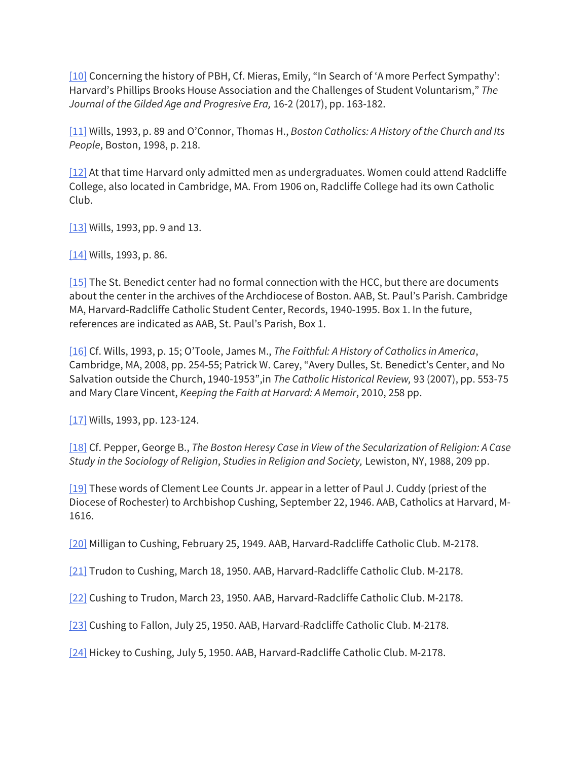[10] Concerning the history of PBH, Cf. Mieras, Emily, "In Search of 'A more Perfect Sympathy': Harvard's Phillips Brooks House Association and the Challenges of Student Voluntarism," *The Journal of the Gilded Age and Progresive Era,* 16-2 (2017), pp. 163-182.

[11] Wills, 1993, p. 89 and O'Connor, Thomas H., *Boston Catholics: A History of the Church and Its People*, Boston, 1998, p. 218.

[12] At that time Harvard only admitted men as undergraduates. Women could attend Radcliffe College, also located in Cambridge, MA. From 1906 on, Radcliffe College had its own Catholic Club.

[13] Wills, 1993, pp. 9 and 13.

[14] Wills, 1993, p. 86.

[15] The St. Benedict center had no formal connection with the HCC, but there are documents about the center in the archives of the Archdiocese of Boston. AAB, St. Paul's Parish. Cambridge MA, Harvard-Radcliffe Catholic Student Center, Records, 1940-1995. Box 1. In the future, references are indicated as AAB, St. Paul's Parish, Box 1.

[16] Cf. Wills, 1993, p. 15; O'Toole, James M., *The Faithful: A History of Catholics in America*, Cambridge, MA, 2008, pp. 254-55; Patrick W. Carey, "Avery Dulles, St. Benedict's Center, and No Salvation outside the Church, 1940-1953",in *The Catholic Historical Review,* 93 (2007), pp. 553-75 and Mary Clare Vincent, *Keeping the Faith at Harvard: A Memoir*, 2010, 258 pp.

[ $17$ ] Wills, 1993, pp. 123-124.

[18] Cf. Pepper, George B., *The Boston Heresy Case in View of the Secularization of Religion: A Case Study in the Sociology of Religion*, *Studies in Religion and Society,* Lewiston, NY, 1988, 209 pp.

[19] These words of Clement Lee Counts Jr. appear in a letter of Paul J. Cuddy (priest of the Diocese of Rochester) to Archbishop Cushing, September 22, 1946. AAB, Catholics at Harvard, M-1616.

[20] Milligan to Cushing, February 25, 1949. AAB, Harvard-Radcliffe Catholic Club. M-2178.

[21] Trudon to Cushing, March 18, 1950. AAB, Harvard-Radcliffe Catholic Club. M-2178.

[22] Cushing to Trudon, March 23, 1950. AAB, Harvard-Radcliffe Catholic Club. M-2178.

[23] Cushing to Fallon, July 25, 1950. AAB, Harvard-Radcliffe Catholic Club. M-2178.

[24] Hickey to Cushing, July 5, 1950. AAB, Harvard-Radcliffe Catholic Club. M-2178.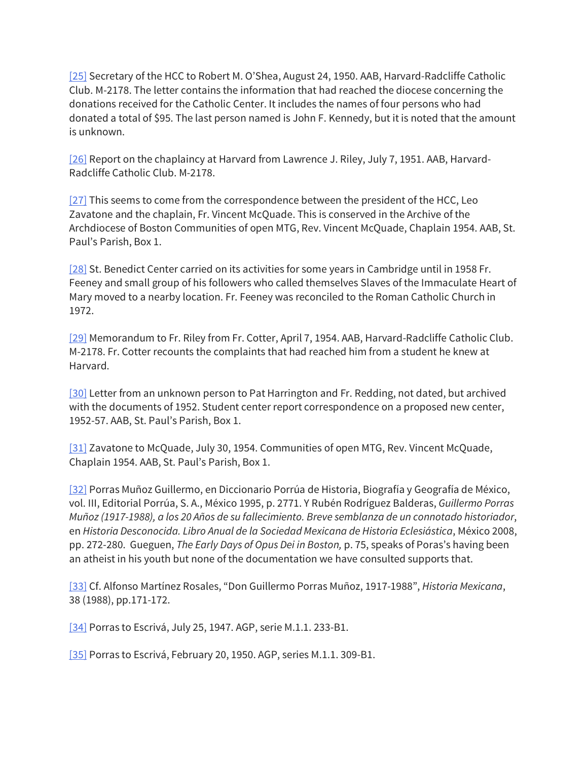[25] Secretary of the HCC to Robert M. O'Shea, August 24, 1950. AAB, Harvard-Radcliffe Catholic Club. M-2178. The letter contains the information that had reached the diocese concerning the donations received for the Catholic Center. It includes the names of four persons who had donated a total of \$95. The last person named is John F. Kennedy, but it is noted that the amount is unknown.

[26] Report on the chaplaincy at Harvard from Lawrence J. Riley, July 7, 1951. AAB, Harvard-Radcliffe Catholic Club. M-2178.

[27] This seems to come from the correspondence between the president of the HCC, Leo Zavatone and the chaplain, Fr. Vincent McQuade. This is conserved in the Archive of the Archdiocese of Boston Communities of open MTG, Rev. Vincent McQuade, Chaplain 1954. AAB, St. Paul's Parish, Box 1.

[28] St. Benedict Center carried on its activities for some years in Cambridge until in 1958 Fr. Feeney and small group of his followers who called themselves Slaves of the Immaculate Heart of Mary moved to a nearby location. Fr. Feeney was reconciled to the Roman Catholic Church in 1972.

[29] Memorandum to Fr. Riley from Fr. Cotter, April 7, 1954. AAB, Harvard-Radcliffe Catholic Club. M-2178. Fr. Cotter recounts the complaints that had reached him from a student he knew at Harvard.

[30] Letter from an unknown person to Pat Harrington and Fr. Redding, not dated, but archived with the documents of 1952. Student center report correspondence on a proposed new center, 1952-57. AAB, St. Paul's Parish, Box 1.

[31] Zavatone to McQuade, July 30, 1954. Communities of open MTG, Rev. Vincent McQuade, Chaplain 1954. AAB, St. Paul's Parish, Box 1.

[32] Porras Muñoz Guillermo, en Diccionario Porrúa de Historia, Biografía y Geografía de México, vol. III, Editorial Porrúa, S. A., México 1995, p. 2771. Y Rubén Rodríguez Balderas, *Guillermo Porras Muñoz (1917-1988), a los 20 Años de su fallecimiento. Breve semblanza de un connotado historiador*, en *Historia Desconocida. Libro Anual de la Sociedad Mexicana de Historia Eclesiástica*, México 2008, pp. 272-280. Gueguen, *The Early Days of Opus Dei in Boston,* p. 75, speaks of Poras's having been an atheist in his youth but none of the documentation we have consulted supports that.

[33] Cf. Alfonso Martínez Rosales, "Don Guillermo Porras Muñoz, 1917-1988", *Historia Mexicana*, 38 (1988), pp.171-172.

[34] Porras to Escrivá, July 25, 1947. AGP, serie M.1.1. 233-B1.

[35] Porras to Escrivá, February 20, 1950. AGP, series M.1.1. 309-B1.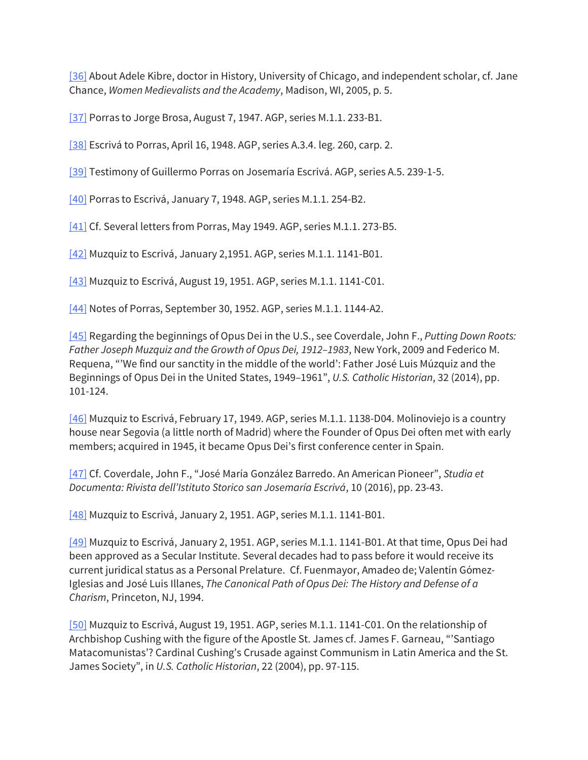[36] About Adele Kibre, doctor in History, University of Chicago, and independent scholar, cf. Jane Chance, *Women Medievalists and the Academy*, Madison, WI, 2005, p. 5.

[37] Porras to Jorge Brosa, August 7, 1947. AGP, series M.1.1. 233-B1.

[38] Escrivá to Porras, April 16, 1948. AGP, series A.3.4. leg. 260, carp. 2.

[39] Testimony of Guillermo Porras on Josemaría Escrivá. AGP, series A.5. 239-1-5.

[40] Porras to Escrivá, January 7, 1948. AGP, series M.1.1. 254-B2.

[41] Cf. Several letters from Porras, May 1949. AGP, series M.1.1. 273-B5.

[42] Muzquiz to Escrivá, January 2,1951. AGP, series M.1.1. 1141-B01.

[43] Muzquiz to Escrivá, August 19, 1951. AGP, series M.1.1. 1141-C01.

[44] Notes of Porras, September 30, 1952. AGP, series M.1.1. 1144-A2.

[45] Regarding the beginnings of Opus Dei in the U.S., see Coverdale, John F., *Putting Down Roots: Father Joseph Muzquiz and the Growth of Opus Dei, 1912–1983*, New York, 2009 and Federico M. Requena, "'We find our sanctity in the middle of the world': Father José Luis Múzquiz and the Beginnings of Opus Dei in the United States, 1949–1961", *U.S. Catholic Historian*, 32 (2014), pp. 101-124.

[46] Muzquiz to Escrivá, February 17, 1949. AGP, series M.1.1. 1138-D04. Molinoviejo is a country house near Segovia (a little north of Madrid) where the Founder of Opus Dei often met with early members; acquired in 1945, it became Opus Dei's first conference center in Spain.

[47] Cf. Coverdale, John F., "José María González Barredo. An American Pioneer", *Studia et Documenta: Rivista dell'Istituto Storico san Josemaría Escrivá*, 10 (2016), pp. 23-43.

[48] Muzquiz to Escrivá, January 2, 1951. AGP, series M.1.1. 1141-B01.

[49] Muzquiz to Escrivá, January 2, 1951. AGP, series M.1.1. 1141-B01. At that time, Opus Dei had been approved as a Secular Institute. Several decades had to pass before it would receive its current juridical status as a Personal Prelature. Cf. Fuenmayor, Amadeo de; Valentín Gómez-Iglesias and José Luis Illanes, *The Canonical Path of Opus Dei: The History and Defense of a Charism*, Princeton, NJ, 1994.

[50] Muzquiz to Escrivá, August 19, 1951. AGP, series M.1.1. 1141-C01. On the relationship of Archbishop Cushing with the figure of the Apostle St. James cf. James F. Garneau, "'Santiago Matacomunistas'? Cardinal Cushing's Crusade against Communism in Latin America and the St. James Society", in *U.S. Catholic Historian*, 22 (2004), pp. 97-115.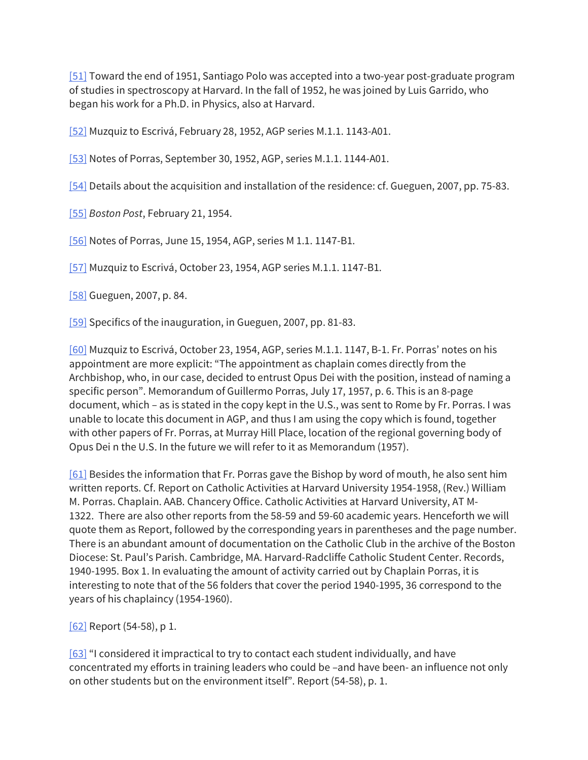[51] Toward the end of 1951, Santiago Polo was accepted into a two-year post-graduate program of studies in spectroscopy at Harvard. In the fall of 1952, he was joined by Luis Garrido, who began his work for a Ph.D. in Physics, also at Harvard.

[52] Muzquiz to Escrivá, February 28, 1952, AGP series M.1.1. 1143-A01.

[53] Notes of Porras, September 30, 1952, AGP, series M.1.1. 1144-A01.

[54] Details about the acquisition and installation of the residence: cf. Gueguen, 2007, pp. 75-83.

[55] *Boston Post*, February 21, 1954.

[56] Notes of Porras, June 15, 1954, AGP, series M 1.1. 1147-B1.

[57] Muzquiz to Escrivá, October 23, 1954, AGP series M.1.1. 1147-B1.

[58] Gueguen, 2007, p. 84.

[59] Specifics of the inauguration, in Gueguen, 2007, pp. 81-83.

[60] Muzquiz to Escrivá, October 23, 1954, AGP, series M.1.1. 1147, B-1. Fr. Porras' notes on his appointment are more explicit: "The appointment as chaplain comes directly from the Archbishop, who, in our case, decided to entrust Opus Dei with the position, instead of naming a specific person". Memorandum of Guillermo Porras, July 17, 1957, p. 6. This is an 8-page document, which – as is stated in the copy kept in the U.S., was sent to Rome by Fr. Porras. I was unable to locate this document in AGP, and thus I am using the copy which is found, together with other papers of Fr. Porras, at Murray Hill Place, location of the regional governing body of Opus Dei n the U.S. In the future we will refer to it as Memorandum (1957).

[61] Besides the information that Fr. Porras gave the Bishop by word of mouth, he also sent him written reports. Cf. Report on Catholic Activities at Harvard University 1954-1958, (Rev.) William M. Porras. Chaplain. AAB. Chancery Office. Catholic Activities at Harvard University, AT M-1322. There are also other reports from the 58-59 and 59-60 academic years. Henceforth we will quote them as Report, followed by the corresponding years in parentheses and the page number. There is an abundant amount of documentation on the Catholic Club in the archive of the Boston Diocese: St. Paul's Parish. Cambridge, MA. Harvard-Radcliffe Catholic Student Center. Records, 1940-1995. Box 1. In evaluating the amount of activity carried out by Chaplain Porras, it is interesting to note that of the 56 folders that cover the period 1940-1995, 36 correspond to the years of his chaplaincy (1954-1960).

[62] Report (54-58), p 1.

[63] "I considered it impractical to try to contact each student individually, and have concentrated my efforts in training leaders who could be –and have been- an influence not only on other students but on the environment itself". Report (54-58), p. 1.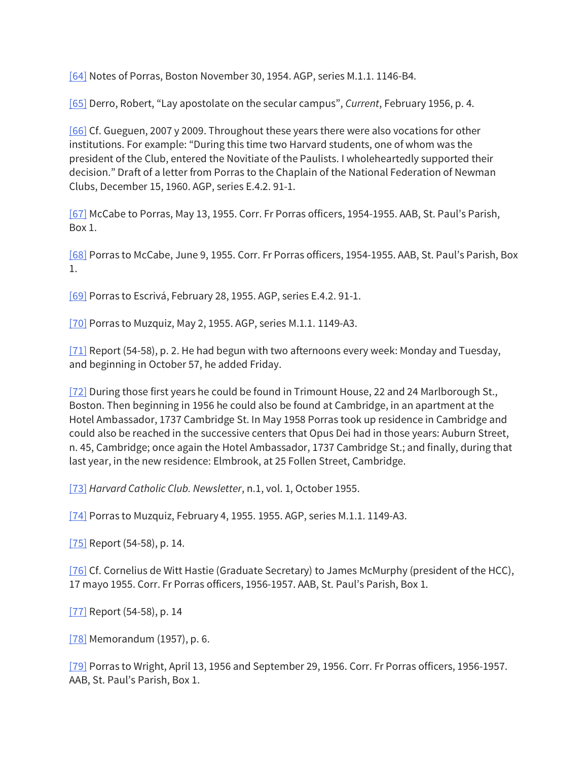[64] Notes of Porras, Boston November 30, 1954. AGP, series M.1.1. 1146-B4.

[65] Derro, Robert, "Lay apostolate on the secular campus", *Current*, February 1956, p. 4.

[66] Cf. Gueguen, 2007 y 2009. Throughout these years there were also vocations for other institutions. For example: "During this time two Harvard students, one of whom was the president of the Club, entered the Novitiate of the Paulists. I wholeheartedly supported their decision." Draft of a letter from Porras to the Chaplain of the National Federation of Newman Clubs, December 15, 1960. AGP, series E.4.2. 91-1.

[67] McCabe to Porras, May 13, 1955. Corr. Fr Porras officers, 1954-1955. AAB, St. Paul's Parish, Box 1.

[68] Porras to McCabe, June 9, 1955. Corr. Fr Porras officers, 1954-1955. AAB, St. Paul's Parish, Box 1.

[69] Porras to Escrivá, February 28, 1955. AGP, series E.4.2. 91-1.

[70] Porras to Muzquiz, May 2, 1955. AGP, series M.1.1. 1149-A3.

[71] Report (54-58), p. 2. He had begun with two afternoons every week: Monday and Tuesday, and beginning in October 57, he added Friday.

[72] During those first years he could be found in Trimount House, 22 and 24 Marlborough St., Boston. Then beginning in 1956 he could also be found at Cambridge, in an apartment at the Hotel Ambassador, 1737 Cambridge St. In May 1958 Porras took up residence in Cambridge and could also be reached in the successive centers that Opus Dei had in those years: Auburn Street, n. 45, Cambridge; once again the Hotel Ambassador, 1737 Cambridge St.; and finally, during that last year, in the new residence: Elmbrook, at 25 Follen Street, Cambridge.

[73] *Harvard Catholic Club. Newsletter*, n.1, vol. 1, October 1955.

[74] Porras to Muzquiz, February 4, 1955. 1955. AGP, series M.1.1. 1149-A3.

[75] Report (54-58), p. 14.

[76] Cf. Cornelius de Witt Hastie (Graduate Secretary) to James McMurphy (president of the HCC), 17 mayo 1955. Corr. Fr Porras officers, 1956-1957. AAB, St. Paul's Parish, Box 1.

[77] Report (54-58), p. 14

[78] Memorandum (1957), p. 6.

[79] Porras to Wright, April 13, 1956 and September 29, 1956. Corr. Fr Porras officers, 1956-1957. AAB, St. Paul's Parish, Box 1.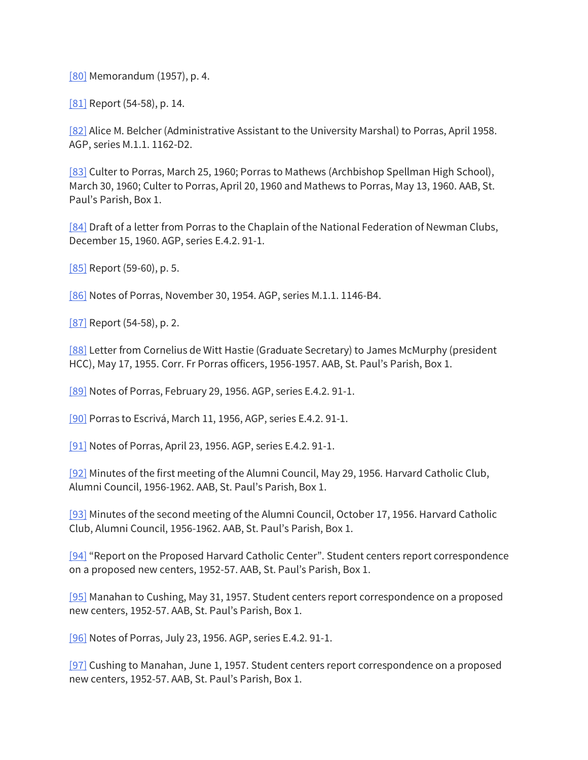[80] Memorandum (1957), p. 4.

[81] Report (54-58), p. 14.

[82] Alice M. Belcher (Administrative Assistant to the University Marshal) to Porras, April 1958. AGP, series M.1.1. 1162-D2.

[83] Culter to Porras, March 25, 1960; Porras to Mathews (Archbishop Spellman High School), March 30, 1960; Culter to Porras, April 20, 1960 and Mathews to Porras, May 13, 1960. AAB, St. Paul's Parish, Box 1.

[84] Draft of a letter from Porras to the Chaplain of the National Federation of Newman Clubs, December 15, 1960. AGP, series E.4.2. 91-1.

[85] Report (59-60), p. 5.

[86] Notes of Porras, November 30, 1954. AGP, series M.1.1. 1146-B4.

[87] Report (54-58), p. 2.

[88] Letter from Cornelius de Witt Hastie (Graduate Secretary) to James McMurphy (president HCC), May 17, 1955. Corr. Fr Porras officers, 1956-1957. AAB, St. Paul's Parish, Box 1.

[89] Notes of Porras, February 29, 1956. AGP, series E.4.2. 91-1.

[90] Porras to Escrivá, March 11, 1956, AGP, series E.4.2. 91-1.

[91] Notes of Porras, April 23, 1956. AGP, series E.4.2. 91-1.

[92] Minutes of the first meeting of the Alumni Council, May 29, 1956. Harvard Catholic Club, Alumni Council, 1956-1962. AAB, St. Paul's Parish, Box 1.

[93] Minutes of the second meeting of the Alumni Council, October 17, 1956. Harvard Catholic Club, Alumni Council, 1956-1962. AAB, St. Paul's Parish, Box 1.

[94] "Report on the Proposed Harvard Catholic Center". Student centers report correspondence on a proposed new centers, 1952-57. AAB, St. Paul's Parish, Box 1.

[95] Manahan to Cushing, May 31, 1957. Student centers report correspondence on a proposed new centers, 1952-57. AAB, St. Paul's Parish, Box 1.

[96] Notes of Porras, July 23, 1956. AGP, series E.4.2. 91-1.

[97] Cushing to Manahan, June 1, 1957. Student centers report correspondence on a proposed new centers, 1952-57. AAB, St. Paul's Parish, Box 1.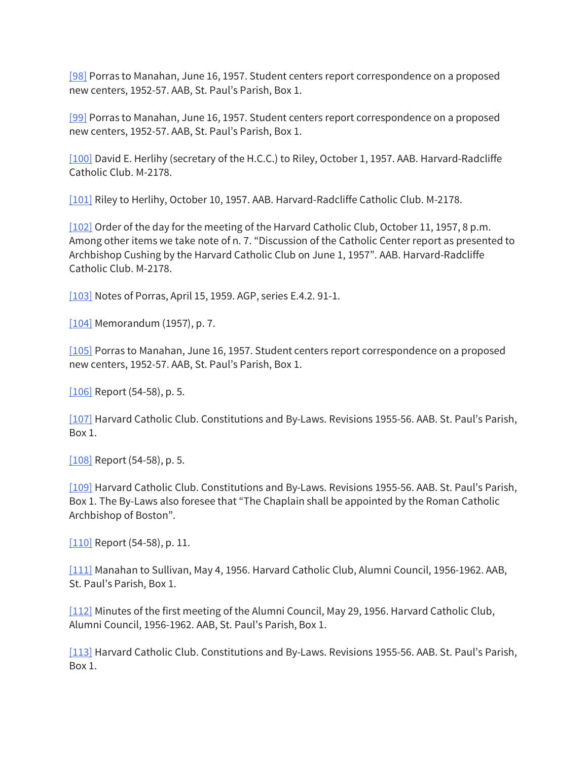[98] Porras to Manahan, June 16, 1957. Student centers report correspondence on a proposed new centers, 1952-57. AAB, St. Paul's Parish, Box 1.

[99] Porras to Manahan, June 16, 1957. Student centers report correspondence on a proposed new centers, 1952-57. AAB, St. Paul's Parish, Box 1.

[100] David E. Herlihy (secretary of the H.C.C.) to Riley, October 1, 1957. AAB. Harvard-Radcliffe Catholic Club. M-2178.

[101] Riley to Herlihy, October 10, 1957. AAB. Harvard-Radcliffe Catholic Club. M-2178.

[102] Order of the day for the meeting of the Harvard Catholic Club, October 11, 1957, 8 p.m. Among other items we take note of n. 7. "Discussion of the Catholic Center report as presented to Archbishop Cushing by the Harvard Catholic Club on June 1, 1957". AAB. Harvard-Radcliffe Catholic Club. M-2178.

[103] Notes of Porras, April 15, 1959. AGP, series E.4.2. 91-1.

[104] Memorandum (1957), p. 7.

[105] Porras to Manahan, June 16, 1957. Student centers report correspondence on a proposed new centers, 1952-57. AAB, St. Paul's Parish, Box 1.

[106] Report (54-58), p. 5.

[107] Harvard Catholic Club. Constitutions and By-Laws. Revisions 1955-56. AAB. St. Paul's Parish, Box 1.

[108] Report (54-58), p. 5.

[109] Harvard Catholic Club. Constitutions and By-Laws. Revisions 1955-56. AAB. St. Paul's Parish, Box 1. The By-Laws also foresee that "The Chaplain shall be appointed by the Roman Catholic Archbishop of Boston".

[110] Report (54-58), p. 11.

[111] Manahan to Sullivan, May 4, 1956. Harvard Catholic Club, Alumni Council, 1956-1962. AAB, St. Paul's Parish, Box 1.

[112] Minutes of the first meeting of the Alumni Council, May 29, 1956. Harvard Catholic Club, Alumni Council, 1956-1962. AAB, St. Paul's Parish, Box 1.

[113] Harvard Catholic Club. Constitutions and By-Laws. Revisions 1955-56. AAB. St. Paul's Parish, Box 1.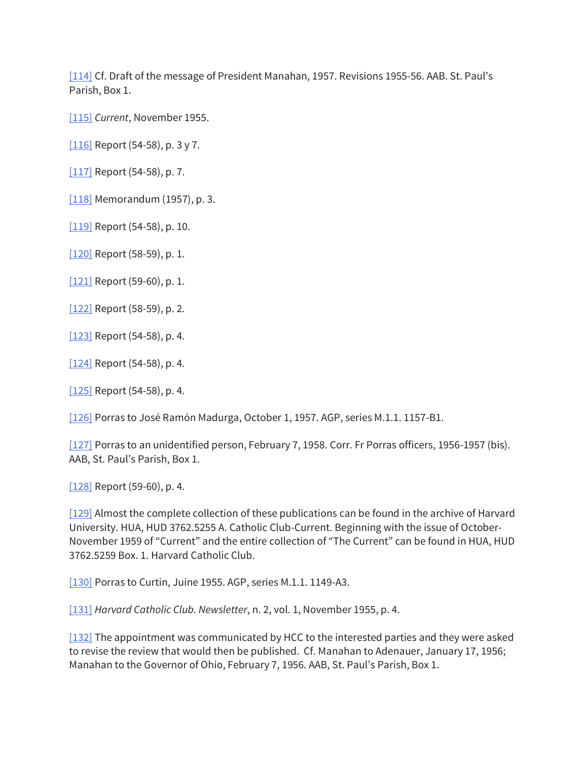[114] Cf. Draft of the message of President Manahan, 1957. Revisions 1955-56. AAB. St. Paul's Parish, Box 1.

[115] *Current*, November 1955.

[ $116$ ] Report (54-58), p. 3 y 7.

[117] Report (54-58), p. 7.

[118] Memorandum (1957), p. 3.

[119] Report (54-58), p. 10.

[120] Report (58-59), p. 1.

[121] Report (59-60), p. 1.

[122] Report (58-59), p. 2.

[123] Report (54-58), p. 4.

[124] Report (54-58), p. 4.

[125] Report (54-58), p. 4.

[126] Porras to José Ramón Madurga, October 1, 1957. AGP, series M.1.1. 1157-B1.

[127] Porras to an unidentified person, February 7, 1958. Corr. Fr Porras officers, 1956-1957 (bis). AAB, St. Paul's Parish, Box 1.

[128] Report (59-60), p. 4.

[129] Almost the complete collection of these publications can be found in the archive of Harvard University. HUA, HUD 3762.5255 A. Catholic Club-Current. Beginning with the issue of October-November 1959 of "Current" and the entire collection of "The Current" can be found in HUA, HUD 3762.5259 Box. 1. Harvard Catholic Club.

[130] Porras to Curtin, Juine 1955. AGP, series M.1.1. 1149-A3.

[131] *Harvard Catholic Club. Newsletter*, n. 2, vol. 1, November 1955, p. 4.

[132] The appointment was communicated by HCC to the interested parties and they were asked to revise the review that would then be published. Cf. Manahan to Adenauer, January 17, 1956; Manahan to the Governor of Ohio, February 7, 1956. AAB, St. Paul's Parish, Box 1.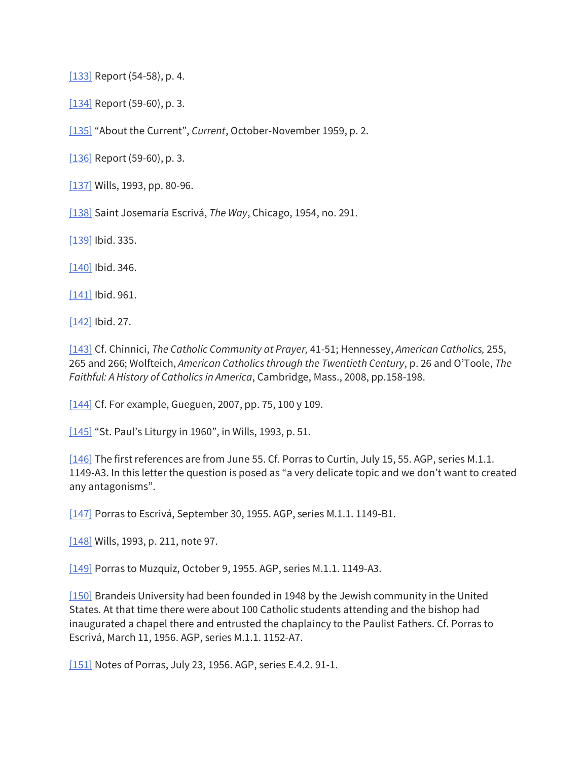[133] Report (54-58), p. 4.

[134] Report (59-60), p. 3.

[135] "About the Current", *Current*, October-November 1959, p. 2.

[136] Report (59-60), p. 3.

[137] Wills, 1993, pp. 80-96.

[138] Saint Josemaría Escrivá, *The Way*, Chicago, 1954, no. 291.

[139] Ibid. 335.

 $[140]$  Ibid. 346.

[141] Ibid. 961.

[142] Ibid. 27.

[143] Cf. Chinnici, *The Catholic Community at Prayer,* 41-51; Hennessey, *American Catholics,* 255, 265 and 266; Wolfteich, *American Catholics through the Twentieth Century*, p. 26 and O'Toole, *The Faithful: A History of Catholics in America*, Cambridge, Mass., 2008, pp.158-198.

[ $144$ ] Cf. For example, Gueguen, 2007, pp. 75, 100 y 109.

[145] "St. Paul's Liturgy in 1960", in Wills, 1993, p. 51.

[146] The first references are from June 55. Cf. Porras to Curtin, July 15, 55. AGP, series M.1.1. 1149-A3. In this letter the question is posed as "a very delicate topic and we don't want to created any antagonisms".

[147] Porras to Escrivá, September 30, 1955. AGP, series M.1.1. 1149-B1.

[148] Wills, 1993, p. 211, note 97.

[149] Porras to Muzquiz, October 9, 1955. AGP, series M.1.1. 1149-A3.

[150] Brandeis University had been founded in 1948 by the Jewish community in the United States. At that time there were about 100 Catholic students attending and the bishop had inaugurated a chapel there and entrusted the chaplaincy to the Paulist Fathers. Cf. Porras to Escrivá, March 11, 1956. AGP, series M.1.1. 1152-A7.

[151] Notes of Porras, July 23, 1956. AGP, series E.4.2. 91-1.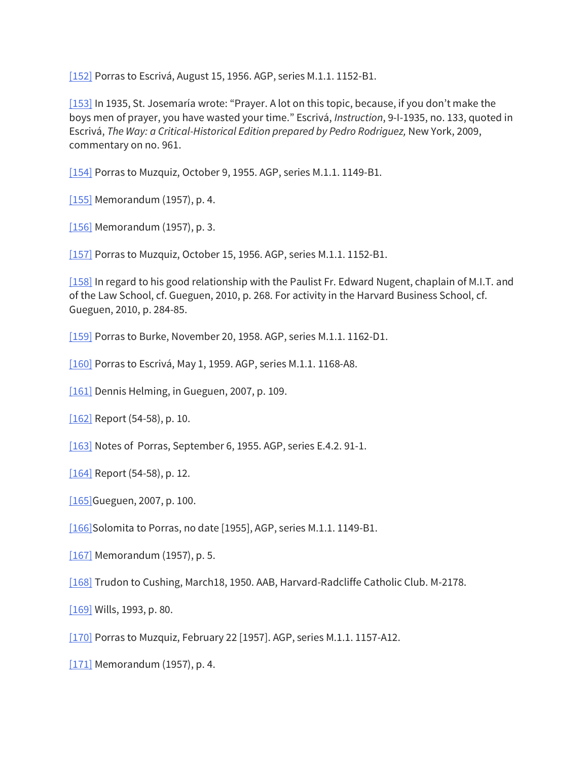[152] Porras to Escrivá, August 15, 1956. AGP, series M.1.1. 1152-B1.

[153] In 1935, St. Josemaría wrote: "Prayer. A lot on this topic, because, if you don't make the boys men of prayer, you have wasted your time." Escrivá, *Instruction*, 9-I-1935, no. 133, quoted in Escrivá, *The Way: a Critical-Historical Edition prepared by Pedro Rodriguez,* New York, 2009, commentary on no. 961.

[154] Porras to Muzquiz, October 9, 1955. AGP, series M.1.1. 1149-B1.

[155] Memorandum (1957), p. 4.

[156] Memorandum (1957), p. 3.

[157] Porras to Muzquiz, October 15, 1956. AGP, series M.1.1. 1152-B1.

[158] In regard to his good relationship with the Paulist Fr. Edward Nugent, chaplain of M.I.T. and of the Law School, cf. Gueguen, 2010, p. 268. For activity in the Harvard Business School, cf. Gueguen, 2010, p. 284-85.

[159] Porras to Burke, November 20, 1958. AGP, series M.1.1. 1162-D1.

[160] Porras to Escrivá, May 1, 1959. AGP, series M.1.1. 1168-A8.

[161] Dennis Helming, in Gueguen, 2007, p. 109.

[162] Report (54-58), p. 10.

[163] Notes of Porras, September 6, 1955. AGP, series E.4.2. 91-1.

[164] Report (54-58), p. 12.

[165] Gueguen, 2007, p. 100.

[166]Solomita to Porras, no date [1955], AGP, series M.1.1. 1149-B1.

[167] Memorandum (1957), p. 5.

[168] Trudon to Cushing, March18, 1950. AAB, Harvard-Radcliffe Catholic Club. M-2178.

[169] Wills, 1993, p. 80.

[170] Porras to Muzquiz, February 22 [1957]. AGP, series M.1.1. 1157-A12.

[171] Memorandum (1957), p. 4.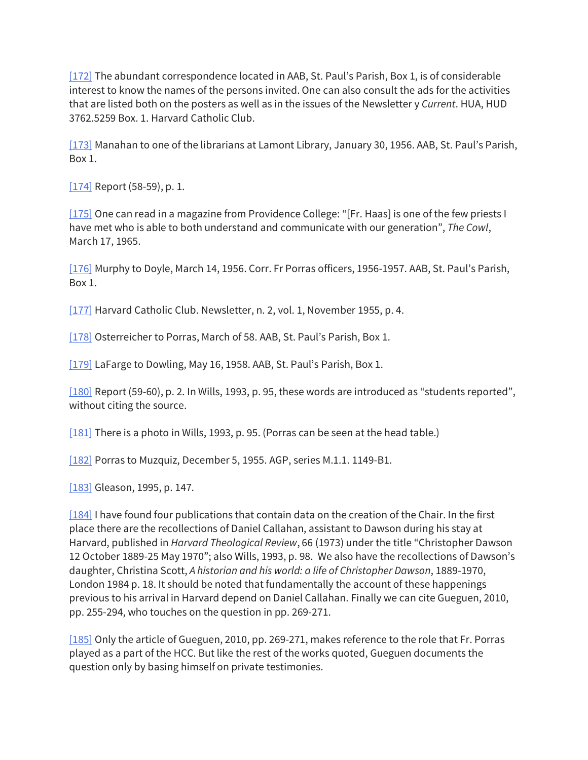[172] The abundant correspondence located in AAB, St. Paul's Parish, Box 1, is of considerable interest to know the names of the persons invited. One can also consult the ads for the activities that are listed both on the posters as well as in the issues of the Newsletter y *Current*. HUA, HUD 3762.5259 Box. 1. Harvard Catholic Club.

[173] Manahan to one of the librarians at Lamont Library, January 30, 1956. AAB, St. Paul's Parish, Box 1.

[174] Report (58-59), p. 1.

[175] One can read in a magazine from Providence College: "[Fr. Haas] is one of the few priests I have met who is able to both understand and communicate with our generation", *The Cowl*, March 17, 1965.

[176] Murphy to Doyle, March 14, 1956. Corr. Fr Porras officers, 1956-1957. AAB, St. Paul's Parish, Box 1.

[177] Harvard Catholic Club. Newsletter, n. 2, vol. 1, November 1955, p. 4.

[178] Osterreicher to Porras, March of 58. AAB, St. Paul's Parish, Box 1.

[179] LaFarge to Dowling, May 16, 1958. AAB, St. Paul's Parish, Box 1.

[180] Report (59-60), p. 2. In Wills, 1993, p. 95, these words are introduced as "students reported", without citing the source.

[181] There is a photo in Wills, 1993, p. 95. (Porras can be seen at the head table.)

[182] Porras to Muzquiz, December 5, 1955. AGP, series M.1.1. 1149-B1.

[183] Gleason, 1995, p. 147.

[184] I have found four publications that contain data on the creation of the Chair. In the first place there are the recollections of Daniel Callahan, assistant to Dawson during his stay at Harvard, published in *Harvard Theological Review*, 66 (1973) under the title "Christopher Dawson 12 October 1889-25 May 1970"; also Wills, 1993, p. 98. We also have the recollections of Dawson's daughter, Christina Scott, *A historian and his world: a life of Christopher Dawson*, 1889-1970, London 1984 p. 18. It should be noted that fundamentally the account of these happenings previous to his arrival in Harvard depend on Daniel Callahan. Finally we can cite Gueguen, 2010, pp. 255-294, who touches on the question in pp. 269-271.

[185] Only the article of Gueguen, 2010, pp. 269-271, makes reference to the role that Fr. Porras played as a part of the HCC. But like the rest of the works quoted, Gueguen documents the question only by basing himself on private testimonies.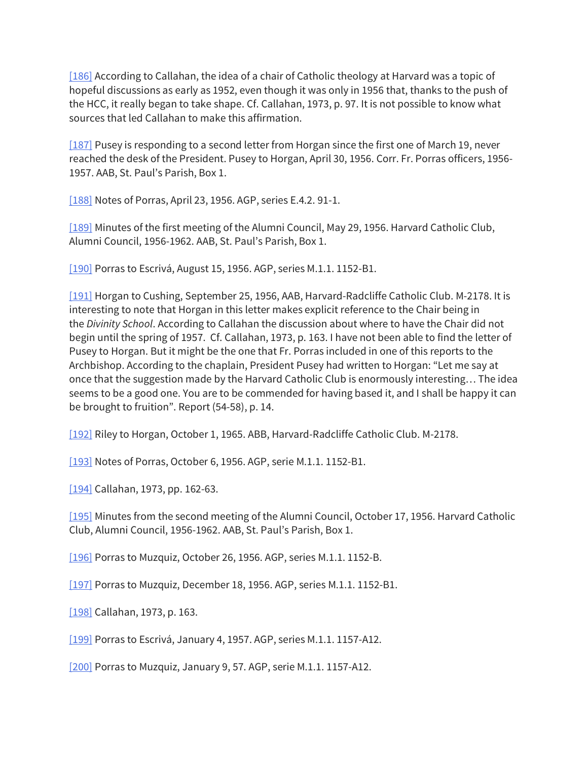[186] According to Callahan, the idea of a chair of Catholic theology at Harvard was a topic of hopeful discussions as early as 1952, even though it was only in 1956 that, thanks to the push of the HCC, it really began to take shape. Cf. Callahan, 1973, p. 97. It is not possible to know what sources that led Callahan to make this affirmation.

[187] Pusey is responding to a second letter from Horgan since the first one of March 19, never reached the desk of the President. Pusey to Horgan, April 30, 1956. Corr. Fr. Porras officers, 1956- 1957. AAB, St. Paul's Parish, Box 1.

[188] Notes of Porras, April 23, 1956. AGP, series E.4.2. 91-1.

[189] Minutes of the first meeting of the Alumni Council, May 29, 1956. Harvard Catholic Club, Alumni Council, 1956-1962. AAB, St. Paul's Parish, Box 1.

[190] Porras to Escrivá, August 15, 1956. AGP, series M.1.1. 1152-B1.

[191] Horgan to Cushing, September 25, 1956, AAB, Harvard-Radcliffe Catholic Club. M-2178. It is interesting to note that Horgan in this letter makes explicit reference to the Chair being in the *Divinity School*. According to Callahan the discussion about where to have the Chair did not begin until the spring of 1957. Cf. Callahan, 1973, p. 163. I have not been able to find the letter of Pusey to Horgan. But it might be the one that Fr. Porras included in one of this reports to the Archbishop. According to the chaplain, President Pusey had written to Horgan: "Let me say at once that the suggestion made by the Harvard Catholic Club is enormously interesting… The idea seems to be a good one. You are to be commended for having based it, and I shall be happy it can be brought to fruition". Report (54-58), p. 14.

[192] Riley to Horgan, October 1, 1965. ABB, Harvard-Radcliffe Catholic Club. M-2178.

[193] Notes of Porras, October 6, 1956. AGP, serie M.1.1. 1152-B1.

[194] Callahan, 1973, pp. 162-63.

[195] Minutes from the second meeting of the Alumni Council, October 17, 1956. Harvard Catholic Club, Alumni Council, 1956-1962. AAB, St. Paul's Parish, Box 1.

[196] Porras to Muzquiz, October 26, 1956. AGP, series M.1.1. 1152-B.

[197] Porras to Muzquiz, December 18, 1956. AGP, series M.1.1. 1152-B1.

[198] Callahan, 1973, p. 163.

[199] Porras to Escrivá, January 4, 1957. AGP, series M.1.1. 1157-A12.

[200] Porras to Muzquiz, January 9, 57. AGP, serie M.1.1. 1157-A12.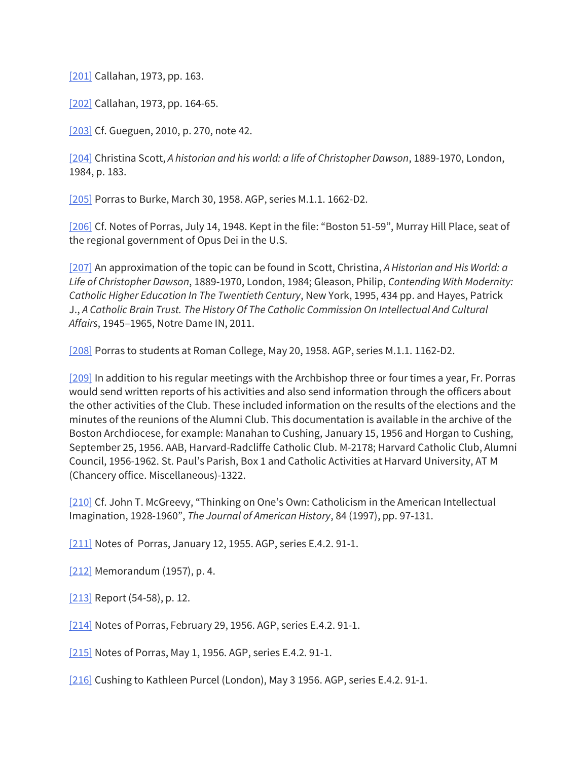[201] Callahan, 1973, pp. 163.

[202] Callahan, 1973, pp. 164-65.

[203] Cf. Gueguen, 2010, p. 270, note 42.

[204] Christina Scott, *A historian and his world: a life of Christopher Dawson*, 1889-1970, London, 1984, p. 183.

[205] Porras to Burke, March 30, 1958. AGP, series M.1.1. 1662-D2.

[206] Cf. Notes of Porras, July 14, 1948. Kept in the file: "Boston 51-59", Murray Hill Place, seat of the regional government of Opus Dei in the U.S.

[207] An approximation of the topic can be found in Scott, Christina, *A Historian and His World: a Life of Christopher Dawson*, 1889-1970, London, 1984; Gleason, Philip, *Contending With Modernity: Catholic Higher Education In The Twentieth Century*, New York, 1995, 434 pp. and Hayes, Patrick J., *A Catholic Brain Trust. The History Of The Catholic Commission On Intellectual And Cultural Affairs*, 1945–1965, Notre Dame IN, 2011.

[208] Porras to students at Roman College, May 20, 1958. AGP, series M.1.1. 1162-D2.

[209] In addition to his regular meetings with the Archbishop three or four times a year, Fr. Porras would send written reports of his activities and also send information through the officers about the other activities of the Club. These included information on the results of the elections and the minutes of the reunions of the Alumni Club. This documentation is available in the archive of the Boston Archdiocese, for example: Manahan to Cushing, January 15, 1956 and Horgan to Cushing, September 25, 1956. AAB, Harvard-Radcliffe Catholic Club. M-2178; Harvard Catholic Club, Alumni Council, 1956-1962. St. Paul's Parish, Box 1 and Catholic Activities at Harvard University, AT M (Chancery office. Miscellaneous)-1322.

[210] Cf. John T. McGreevy, "Thinking on One's Own: Catholicism in the American Intellectual Imagination, 1928-1960", *The Journal of American History*, 84 (1997), pp. 97-131.

[211] Notes of Porras, January 12, 1955. AGP, series E.4.2. 91-1.

[212] Memorandum (1957), p. 4.

[213] Report (54-58), p. 12.

[214] Notes of Porras, February 29, 1956. AGP, series E.4.2. 91-1.

[215] Notes of Porras, May 1, 1956. AGP, series E.4.2. 91-1.

[216] Cushing to Kathleen Purcel (London), May 3 1956. AGP, series E.4.2. 91-1.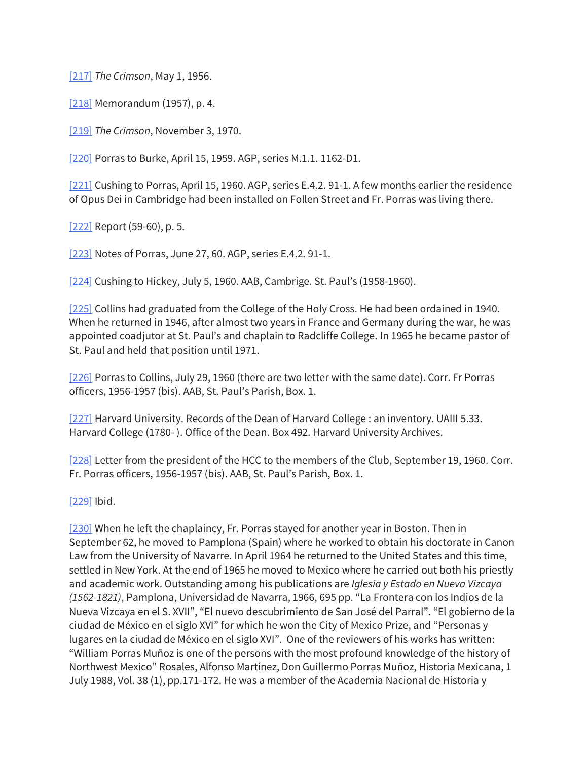[217] *The Crimson*, May 1, 1956.

[218] Memorandum (1957), p. 4.

[219] *The Crimson*, November 3, 1970.

[220] Porras to Burke, April 15, 1959. AGP, series M.1.1. 1162-D1.

[221] Cushing to Porras, April 15, 1960. AGP, series E.4.2. 91-1. A few months earlier the residence of Opus Dei in Cambridge had been installed on Follen Street and Fr. Porras was living there.

[222] Report (59-60), p. 5.

[223] Notes of Porras, June 27, 60. AGP, series E.4.2. 91-1.

[224] Cushing to Hickey, July 5, 1960. AAB, Cambrige. St. Paul's (1958-1960).

[225] Collins had graduated from the College of the Holy Cross. He had been ordained in 1940. When he returned in 1946, after almost two years in France and Germany during the war, he was appointed coadjutor at St. Paul's and chaplain to Radcliffe College. In 1965 he became pastor of St. Paul and held that position until 1971.

[226] Porras to Collins, July 29, 1960 (there are two letter with the same date). Corr. Fr Porras officers, 1956-1957 (bis). AAB, St. Paul's Parish, Box. 1.

[227] Harvard University. Records of the Dean of Harvard College : an inventory. UAIII 5.33. Harvard College (1780- ). Office of the Dean. Box 492. Harvard University Archives.

[228] Letter from the president of the HCC to the members of the Club, September 19, 1960. Corr. Fr. Porras officers, 1956-1957 (bis). AAB, St. Paul's Parish, Box. 1.

[229] Ibid.

[230] When he left the chaplaincy, Fr. Porras stayed for another year in Boston. Then in September 62, he moved to Pamplona (Spain) where he worked to obtain his doctorate in Canon Law from the University of Navarre. In April 1964 he returned to the United States and this time, settled in New York. At the end of 1965 he moved to Mexico where he carried out both his priestly and academic work. Outstanding among his publications are *Iglesia y Estado en Nueva Vizcaya (1562-1821)*, Pamplona, Universidad de Navarra, 1966, 695 pp. "La Frontera con los Indios de la Nueva Vizcaya en el S. XVII", "El nuevo descubrimiento de San José del Parral". "El gobierno de la ciudad de México en el siglo XVI" for which he won the City of Mexico Prize, and "Personas y lugares en la ciudad de México en el siglo XVI". One of the reviewers of his works has written: "William Porras Muñoz is one of the persons with the most profound knowledge of the history of Northwest Mexico" Rosales, Alfonso Martínez, Don Guillermo Porras Muñoz, Historia Mexicana, 1 July 1988, Vol. 38 (1), pp.171-172. He was a member of the Academia Nacional de Historia y